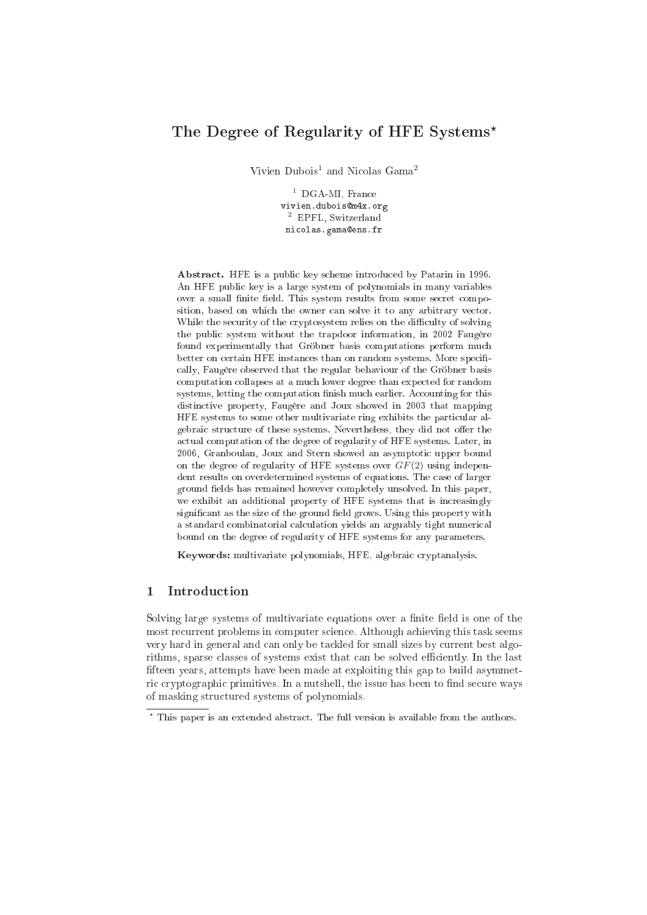# The Degree of Regularity of HFE Systems\*

Vivien Dubois<sup>1</sup> and Nicolas  $Gam^2$ 

<sup>1</sup> DGA-MI, France vivien.duboism4x.org <sup>2</sup> EPFL, Switzerland nicolas.gama@ens.fr

Abstract. HFE is a public key scheme introduced by Patarin in 1996. An HFE public key is a large system of polynomials in many variables over a small finite field. This system results from some secret composition, based on which the owner can solve it to any arbitrary vector. While the security of the cryptosystem relies on the difficulty of solving the publi system without the trapdoor information, in 2002 Faugère found experimentally that Gröbner basis omputations perform mu
h better on certain HFE instances than on random systems. More specifially, Faugère observed that the regular behaviour of the Gröbner basis omputation ollapses at a mu
h lower degree than expe
ted for random systems, letting the computation finish much earlier. Accounting for this distin
tive property, Faugère and Joux showed in 2003 that mapping HFE systems to some other multivariate ring exhibits the particular algebraic structure of these systems. Nevertheless, they did not offer the a
tual omputation of the degree of regularity of HFE systems. Later, in 2006, Granboulan, Joux and Stern showed an asymptoti upper bound on the degree of regularity of HFE systems over  $GF(2)$  using independent results on overdetermined systems of equations. The ase of larger ground fields has remained however completely unsolved. In this paper, we exhibit an additional property of HFE systems that is increasingly significant as the size of the ground field grows. Using this property with a standard combinatorial calculation yields an arguably tight numerical bound on the degree of regularity of HFE systems for any parameters.

Keywords: multivariate polynomials, HFE, algebraic cryptanalysis.

#### $\mathbf{1}$ Introduction

Solving large systems of multivariate equations over a finite field is one of the most re
urrent problems in omputer s
ien
e. Although a
hieving this task seems very hard in general and can only be tackled for small sizes by current best algorithms, sparse classes of systems exist that can be solved efficiently. In the last fifteen years, attempts have been made at exploiting this gap to build asymmetric cryptographic primitives. In a nutshell, the issue has been to find secure ways of masking stru
tured systems of polynomials.

<sup>\*</sup> This paper is an extended abstract. The full version is available from the authors.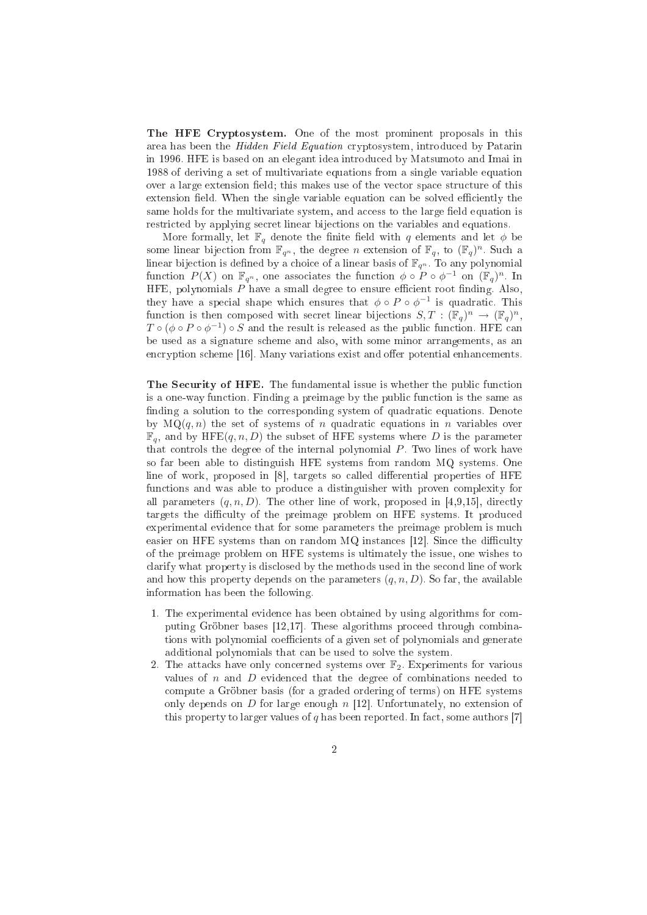The HFE Cryptosystem. One of the most prominent proposals in this area has been the *Hidden Field Equation* cryptosystem, introduced by Patarin in 1996. HFE is based on an elegant idea introdu
ed by Matsumoto and Imai in 1988 of deriving a set of multivariate equations from a single variable equation over a large extension field; this makes use of the vector space structure of this extension field. When the single variable equation can be solved efficiently the same holds for the multivariate system, and access to the large field equation is restricted by applying secret linear bijections on the variables and equations.

More formally, let  $\mathbb{F}_q$  denote the finite field with q elements and let  $\phi$  be some linear bijection from  $\mathbb{F}_{q^n}$ , the degree *n* extension of  $\mathbb{F}_q$ , to  $(\mathbb{F}_q)^n$ . Such a linear bijection is defined by a choice of a linear basis of  $\mathbb{F}_{q^n}$ . To any polynomial function  $P(X)$  on  $\mathbb{F}_{q^n}$ , one associates the function  $\phi \circ P \circ \phi^{-1}$  on  $(\mathbb{F}_q)^n$ . In HFE, polynomials  $P$  have a small degree to ensure efficient root finding. Also, they have a special shape which ensures that  $\phi \circ P \circ \phi^{-1}$  is quadratic. This function is then composed with secret linear bijections  $S, T : (\mathbb{F}_q)^n \to (\mathbb{F}_q)^n$ ,  $T \circ (\phi \circ P \circ \phi^{-1}) \circ S$  and the result is released as the public function. HFE can be used as a signature s
heme and also, with some minor arrangements, as an encryption scheme [16]. Many variations exist and offer potential enhancements.

The Security of HFE. The fundamental issue is whether the public function is a one-way fun
tion. Finding a preimage by the publi fun
tion is the same as finding a solution to the corresponding system of quadratic equations. Denote by  $MO(a, n)$  the set of systems of n quadratic equations in n variables over  $\mathbb{F}_q$ , and by HFE $(q, n, D)$  the subset of HFE systems where D is the parameter that controls the degree of the internal polynomial  $P$ . Two lines of work have so far been able to distinguish HFE systems from random MQ systems. One line of work, proposed in  $[8]$ , targets so called differential properties of  $HFE$ fun
tions and was able to produ
e a distinguisher with proven omplexity for all parameters  $(q, n, D)$ . The other line of work, proposed in [4,9,15], directly targets the difficulty of the preimage problem on HFE systems. It produced experimental evidence that for some parameters the preimage problem is much easier on HFE systems than on random  $MQ$  instances [12]. Since the difficulty of the preimage problem on HFE systems is ultimately the issue, one wishes to clarify what property is disclosed by the methods used in the second line of work and how this property depends on the parameters  $(q, n, D)$ . So far, the available information has been the following.

- 1. The experimental eviden
e has been obtained by using algorithms for omputing Gröbner bases [12,17]. These algorithms proceed through combinations with polynomial coefficients of a given set of polynomials and generate additional polynomials that an be used to solve the system.
- 2. The attacks have only concerned systems over  $\mathbb{F}_2$ . Experiments for various values of  $n$  and  $D$  evidenced that the degree of combinations needed to ompute a Gröbner basis (for a graded ordering of terms) on HFE systems only depends on D for large enough  $n$  [12]. Unfortunately, no extension of this property to larger values of q has been reported. In fact, some authors  $[7]$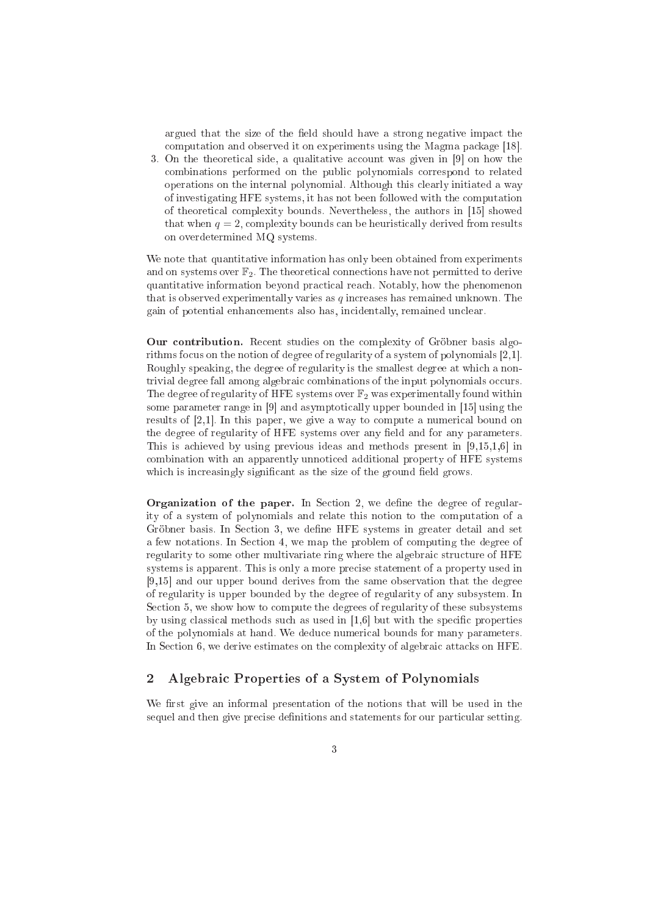argued that the size of the field should have a strong negative impact the computation and observed it on experiments using the Magma package [18].

3. On the theoretical side, a qualitative account was given in  $[9]$  on how the combinations performed on the public polynomials correspond to related operations on the internal polynomial. Although this learly initiated a way of investigating HFE systems, it has not been followed with the omputation of theoretical complexity bounds. Nevertheless, the authors in [15] showed that when  $q = 2$ , complexity bounds can be heuristically derived from results on overdetermined MQ systems.

We note that quantitative information has only been obtained from experiments and on systems over  $\mathbb{F}_2$ . The theoretical connections have not permitted to derive quantitative information beyond practical reach. Notably, how the phenomenon that is observed experimentally varies as  $q$  increases has remained unknown. The gain of potential enhan
ements also has, in
identally, remained un
lear.

Our ontribution. Re
ent studies on the omplexity of Gröbner basis algorithms focus on the notion of degree of regularity of a system of polynomials  $[2,1]$ . Roughly speaking, the degree of regularity is the smallest degree at whi
h a nontrivial degree fall among algebraic combinations of the input polynomials occurs. The degree of regularity of HFE systems over  $\mathbb{F}_2$  was experimentally found within some parameter range in [9] and asymptotically upper bounded in [15] using the results of  $[2,1]$ . In this paper, we give a way to compute a numerical bound on the degree of regularity of HFE systems over any field and for any parameters. This is achieved by using previous ideas and methods present in  $[9,15,1,6]$  in ombination with an apparently unnoti
ed additional property of HFE systems which is increasingly significant as the size of the ground field grows.

**Organization of the paper.** In Section 2, we define the degree of regularity of a system of polynomials and relate this notion to the omputation of a Gröbner basis. In Se
tion 3, we dene HFE systems in greater detail and set a few notations. In Se
tion 4, we map the problem of omputing the degree of regularity to some other multivariate ring where the algebraic structure of HFE systems is apparent. This is only a more precise statement of a property used in  $[9,15]$  and our upper bound derives from the same observation that the degree of regularity is upper bounded by the degree of regularity of any subsystem. In Section 5, we show how to compute the degrees of regularity of these subsystems by using classical methods such as used in  $[1,6]$  but with the specific properties of the polynomials at hand. We dedu
e numeri
al bounds for many parameters. In Section 6, we derive estimates on the complexity of algebraic attacks on HFE.

# 2 Algebraic Properties of a System of Polynomials

We first give an informal presentation of the notions that will be used in the sequel and then give precise definitions and statements for our particular setting.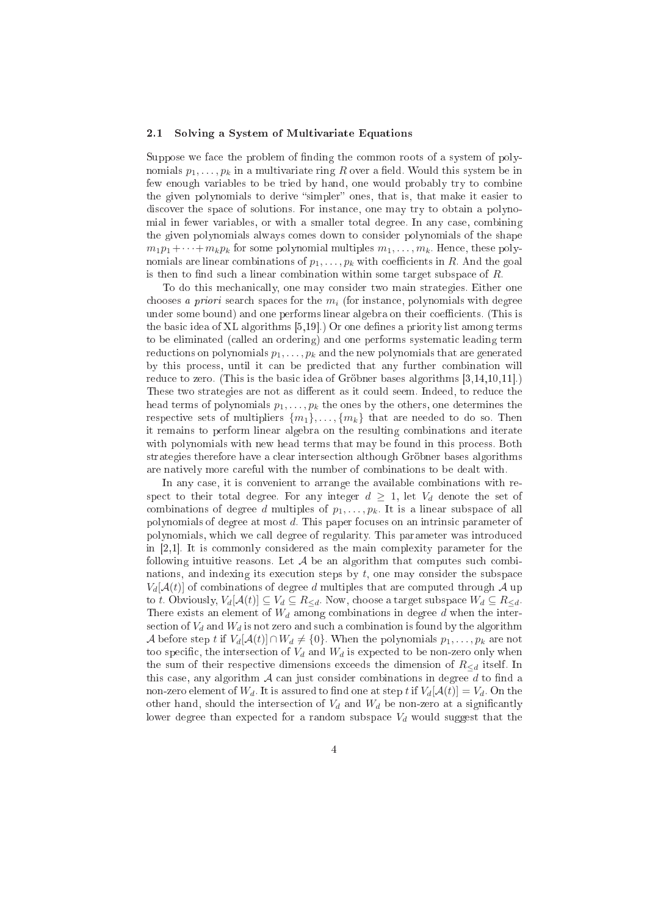#### 2.1 Solving a System of Multivariate Equations

Suppose we face the problem of finding the common roots of a system of polynomials  $p_1, \ldots, p_k$  in a multivariate ring R over a field. Would this system be in few enough variables to be tried by hand, one would probably try to combine the given polynomials to derive "simpler" ones, that is, that make it easier to discover the space of solutions. For instance, one may try to obtain a polynomial in fewer variables, or with a smaller total degree. In any case, combining the given polynomials always omes down to onsider polynomials of the shape  $m_1p_1 + \cdots + m_kp_k$  for some polynomial multiples  $m_1, \ldots, m_k$ . Hence, these polynomials are linear combinations of  $p_1, \ldots, p_k$  with coefficients in R. And the goal is then to find such a linear combination within some target subspace of  $R$ .

To do this me
hani
ally, one may onsider two main strategies. Either one chooses a priori search spaces for the  $m_i$  (for instance, polynomials with degree under some bound) and one performs linear algebra on their coefficients. (This is the basic idea of  $XL$  algorithms  $[5,19]$ .) Or one defines a priority list among terms to be eliminated (
alled an ordering) and one performs systemati leading term reductions on polynomials  $p_1, \ldots, p_k$  and the new polynomials that are generated by this pro
ess, until it an be predi
ted that any further ombination will reduce to zero. (This is the basic idea of Gröbner bases algorithms  $[3,14,10,11]$ .) These two strategies are not as different as it could seem. Indeed, to reduce the head terms of polynomials  $p_1, \ldots, p_k$  the ones by the others, one determines the respective sets of multipliers  $\{m_1\},\ldots,\{m_k\}$  that are needed to do so. Then it remains to perform linear algebra on the resulting combinations and iterate with polynomials with new head terms that may be found in this process. Both strategies therefore have a lear interse
tion although Gröbner bases algorithms are natively more careful with the number of combinations to be dealt with.

In any case, it is convenient to arrange the available combinations with respect to their total degree. For any integer  $d > 1$ , let  $V_d$  denote the set of combinations of degree d multiples of  $p_1, \ldots, p_k$ . It is a linear subspace of all polynomials of degree at most  $d$ . This paper focuses on an intrinsic parameter of polynomials, whi
h we all degree of regularity. This parameter was introdu
ed in [2,1]. It is commonly considered as the main complexity parameter for the following intuitive reasons. Let  $A$  be an algorithm that computes such combinations, and indexing its execution steps by  $t$ , one may consider the subspace  $V_d[A(t)]$  of combinations of degree d multiples that are computed through A up to t. Obviously,  $V_d[\mathcal{A}(t)] \subseteq V_d \subseteq R_{\leq d}$ . Now, choose a target subspace  $W_d \subseteq R_{\leq d}$ . There exists an element of  $W_d$  among combinations in degree  $d$  when the intersection of  $V_d$  and  $W_d$  is not zero and such a combination is found by the algorithm A before step t if  $V_d[A(t)] \cap W_d \neq \{0\}$ . When the polynomials  $p_1, \ldots, p_k$  are not too specific, the intersection of  $V_d$  and  $W_d$  is expected to be non-zero only when the sum of their respective dimensions exceeds the dimension of  $R_{\le d}$  itself. In this case, any algorithm  $\mathcal A$  can just consider combinations in degree d to find a non-zero element of  $W_d$ . It is assured to find one at step t if  $V_d[A(t)] = V_d$ . On the other hand, should the intersection of  $V_d$  and  $W_d$  be non-zero at a significantly lower degree than expected for a random subspace  $V_d$  would suggest that the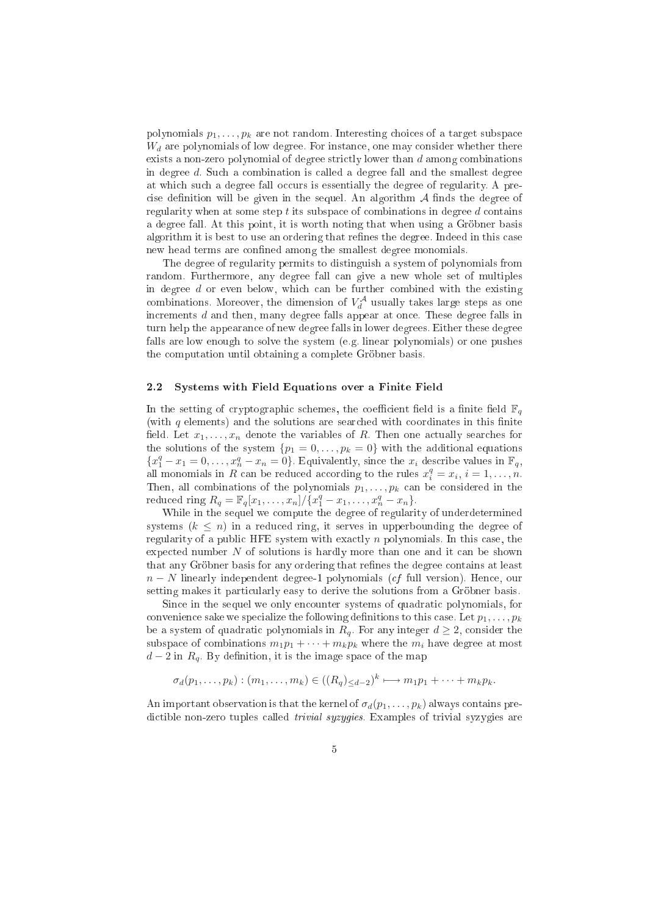polynomials  $p_1, \ldots, p_k$  are not random. Interesting choices of a target subspace  $W_d$  are polynomials of low degree. For instance, one may consider whether there exists a non-zero polynomial of degree strictly lower than  $d$  among combinations in degree d. Such a combination is called a degree fall and the smallest degree at which such a degree fall occurs is essentially the degree of regularity. A precise definition will be given in the sequel. An algorithm  $A$  finds the degree of regularity when at some step  $t$  its subspace of combinations in degree  $d$  contains a degree fall. At this point, it is worth noting that when using a Gröbner basis algorithm it is best to use an ordering that refines the degree. Indeed in this case new head terms are confined among the smallest degree monomials.

The degree of regularity permits to distinguish a system of polynomials from random. Furthermore, any degree fall an give a new whole set of multiples in degree  $d$  or even below, which can be further combined with the existing combinations. Moreover, the dimension of  $V_d^{\mathcal{A}}$  usually takes large steps as one increments d and then, many degree falls appear at once. These degree falls in turn help the appearan
e of new degree falls in lower degrees. Either these degree falls are low enough to solve the system (e.g. linear polynomials) or one pushes the omputation until obtaining a omplete Gröbner basis.

#### 2.2 Systems with Field Equations over a Finite Field

In the setting of cryptographic schemes, the coefficient field is a finite field  $\mathbb{F}_q$ (with  $q$  elements) and the solutions are searched with coordinates in this finite field. Let  $x_1, \ldots, x_n$  denote the variables of R. Then one actually searches for the solutions of the system  $\{p_1 = 0, \ldots, p_k = 0\}$  with the additional equations  ${x_1^q - x_1 = 0, \ldots, x_n^q - x_n = 0}$ . Equivalently, since the  $x_i$  describe values in  $\mathbb{F}_q$ , all monomials in R can be reduced according to the rules  $x_i^q = x_i$ ,  $i = 1, ..., n$ . Then, all combinations of the polynomials  $p_1, \ldots, p_k$  can be considered in the reduced ring  $R_q = \mathbb{F}_q[x_1, \ldots, x_n] / \{x_1^q - x_1, \ldots, x_n^q - x_n\}.$ 

While in the sequel we compute the degree of regularity of underdetermined systems  $(k \leq n)$  in a reduced ring, it serves in upperbounding the degree of regularity of a public HFE system with exactly  $n$  polynomials. In this case, the expected number  $N$  of solutions is hardly more than one and it can be shown that any Gröbner basis for any ordering that refines the degree contains at least  $n - N$  linearly independent degree-1 polynomials (*cf* full version). Hence, our setting makes it particularly easy to derive the solutions from a Gröbner basis.

Since in the sequel we only encounter systems of quadratic polynomials, for convenience sake we specialize the following definitions to this case. Let  $p_1, \ldots, p_k$ be a system of quadratic polynomials in  $R_q$ . For any integer  $d \geq 2$ , consider the subspace of combinations  $m_1p_1 + \cdots + m_kp_k$  where the  $m_i$  have degree at most  $d-2$  in  $R_q$ . By definition, it is the image space of the map

$$
\sigma_d(p_1,\ldots,p_k) : (m_1,\ldots,m_k) \in ((R_q)_{\leq d-2})^k \longmapsto m_1p_1 + \cdots + m_kp_k.
$$

An important observation is that the kernel of  $\sigma_d(p_1, \ldots, p_k)$  always contains predictible non-zero tuples called *trivial syzygies*. Examples of trivial syzygies are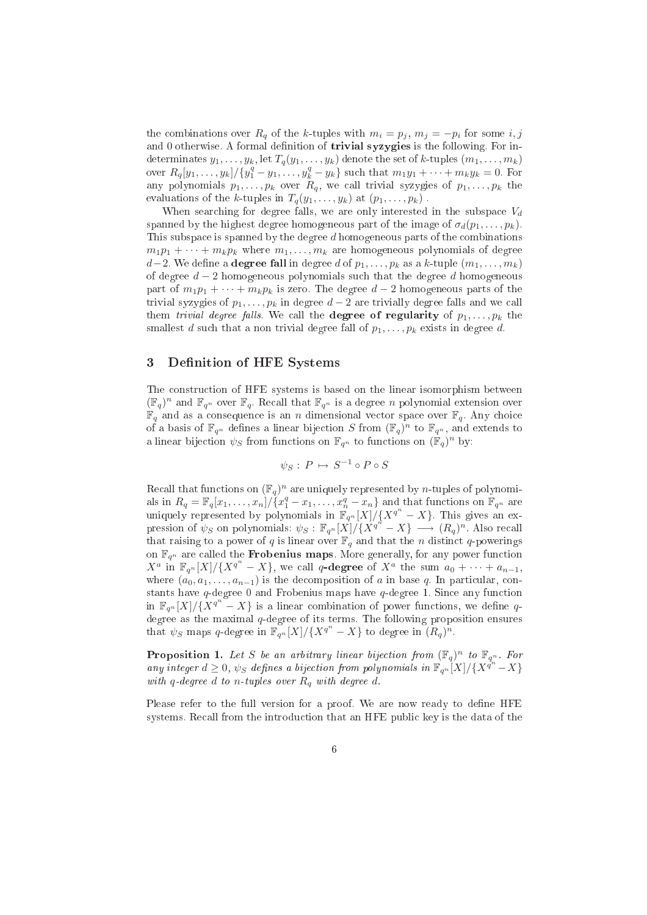the combinations over  $R_q$  of the k-tuples with  $m_i = p_j$ ,  $m_j = -p_i$  for some i, j and 0 otherwise. A formal definition of **trivial syzygies** is the following. For indeterminates  $y_1, \ldots, y_k$ , let  $T_q(y_1, \ldots, y_k)$  denote the set of k-tuples  $(m_1, \ldots, m_k)$ over  $R_q[y_1, \ldots, y_k]/\{y_1^q - y_1, \ldots, y_k^q - y_k\}$  such that  $m_1y_1 + \cdots + m_ky_k = 0$ . For any polynomials  $p_1, \ldots, p_k$  over  $R_q$ , we call trivial syzygies of  $p_1, \ldots, p_k$  the evaluations of the k-tuples in  $T_q(y_1, \ldots, y_k)$  at  $(p_1, \ldots, p_k)$ .

When searching for degree falls, we are only interested in the subspace  $V_d$ spanned by the highest degree homogeneous part of the image of  $\sigma_d(p_1, \ldots, p_k)$ . This subspace is spanned by the degree d homogeneous parts of the combinations  $m_1p_1 + \cdots + m_kp_k$  where  $m_1, \ldots, m_k$  are homogeneous polynomials of degree d−2. We define a **degree fall** in degree d of  $p_1, \ldots, p_k$  as a k-tuple  $(m_1, \ldots, m_k)$ of degree  $d-2$  homogeneous polynomials such that the degree d homogeneous part of  $m_1p_1 + \cdots + m_kp_k$  is zero. The degree  $d-2$  homogeneous parts of the trivial syzygies of  $p_1, \ldots, p_k$  in degree  $d-2$  are trivially degree falls and we call them trivial degree falls. We call the **degree of regularity** of  $p_1, \ldots, p_k$  the smallest d such that a non trivial degree fall of  $p_1, \ldots, p_k$  exists in degree d.

# 3 Definition of HFE Systems

The onstru
tion of HFE systems is based on the linear isomorphism between  $(\mathbb{F}_q)^n$  and  $\mathbb{F}_{q^n}$  over  $\mathbb{F}_q$ . Recall that  $\mathbb{F}_{q^n}$  is a degree n polynomial extension over  $\mathbb{F}_q$  and as a consequence is an *n* dimensional vector space over  $\mathbb{F}_q$ . Any choice of a basis of  $\mathbb{F}_{q^n}$  defines a linear bijection S from  $(\mathbb{F}_q)^n$  to  $\mathbb{F}_{q^n}$ , and extends to a linear bijection  $\psi_S$  from functions on  $\mathbb{F}_{q^n}$  to functions on  $(\mathbb{F}_q)^n$  by:

$$
\psi_S: P \mapsto S^{-1} \circ P \circ S
$$

Recall that functions on  $(\mathbb{F}_q)^n$  are uniquely represented by *n*-tuples of polynomials in  $R_q = \mathbb{F}_q[x_1,\ldots,x_n]/\tilde{x}_1^q - x_1,\ldots,x_n^q - x_n$  and that functions on  $\mathbb{F}_{q^n}$  are uniquely represented by polynomials in  $\mathbb{F}_{q^n}[X]/\{X^{q^n}-X\}$ . This gives an expression of  $\psi_S$  on polynomials:  $\psi_S : \mathbb{F}_{q^n}[X]/\{X^{q^n} - X\} \longrightarrow (R_q)^n$ . Also recall that raising to a power of q is linear over  $\mathbb{F}_q$  and that the n distinct q-powerings on  $\mathbb{F}_{q^n}$  are called the **Frobenius maps**. More generally, for any power function  $X^a$  in  $\mathbb{F}_{q^n}[X]/\{X^{q^n}-X\}$ , we call q-degree of  $X^a$  the sum  $a_0 + \cdots + a_{n-1}$ , where  $(a_0, a_1, \ldots, a_{n-1})$  is the decomposition of a in base q. In particular, constants have  $q$ -degree 0 and Frobenius maps have  $q$ -degree 1. Since any function in  $\mathbb{F}_{q^n}[X]/\{\overline{X^{q^n}-X\}}$  is a linear combination of power functions, we define qdegree as the maximal q-degree of its terms. The following proposition ensures that  $\psi_S$  maps q-degree in  $\mathbb{F}_{q^n}[X]/\{X^{q^n}-X\}$  to degree in  $(R_q)^n$ .

**Proposition 1.** Let S be an arbitrary linear bijection from  $(\mathbb{F}_q)^n$  to  $\mathbb{F}_{q^n}$ . For any integer  $d \geq 0$ ,  $\psi_S$  defines a bijection from polynomials in  $\mathbb{F}_{q^n}[X]/\{X^{q^n}-X\}$ with q-degree d to n-tuples over  $R_q$  with degree d.

Please refer to the full version for a proof. We are now ready to define HFE systems. Recall from the introduction that an HFE public key is the data of the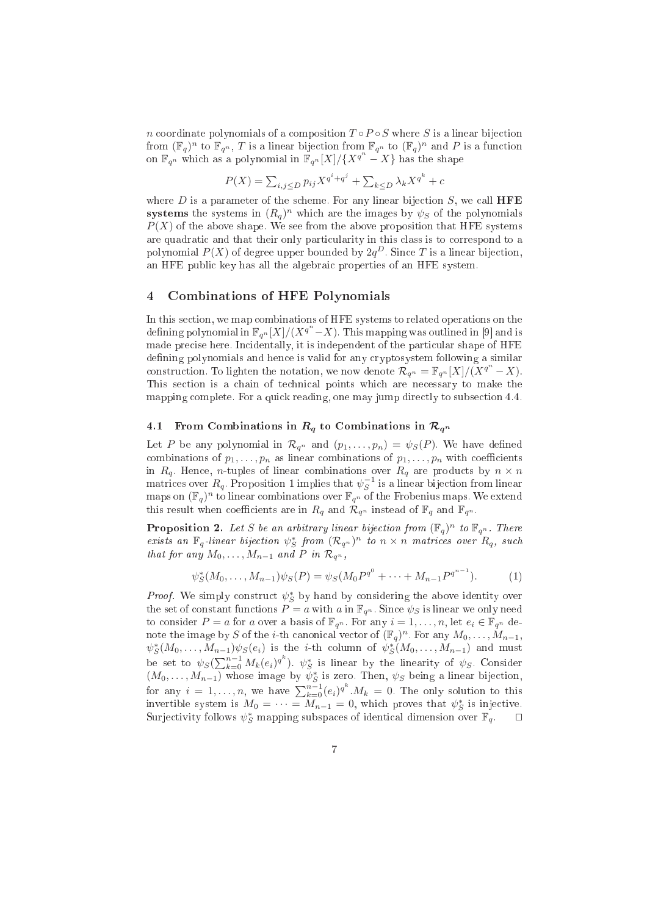n coordinate polynomials of a composition  $T \circ P \circ S$  where S is a linear bijection from  $(\mathbb{F}_q)^n$  to  $\mathbb{F}_{q^n}$ , T is a linear bijection from  $\mathbb{F}_{q^n}$  to  $(\mathbb{F}_q)^n$  and P is a function on  $\mathbb{F}_{q^n}$  which as a polynomial in  $\mathbb{F}_{q^n}[X]/\{X^{q^n}-X\}$  has the shape

$$
P(X) = \sum_{i,j \le D} p_{ij} X^{q^i + q^j} + \sum_{k \le D} \lambda_k X^{q^k} + c
$$

where  $D$  is a parameter of the scheme. For any linear bijection  $S$ , we call **HFE** systems the systems in  $(R_q)^n$  which are the images by  $\psi_S$  of the polynomials  $P(X)$  of the above shape. We see from the above proposition that HFE systems are quadratic and that their only particularity in this class is to correspond to a polynomial  $P(X)$  of degree upper bounded by  $2q^D$ . Since  $T$  is a linear bijection, an HFE public key has all the algebraic properties of an HFE system.

#### $\overline{4}$ 4 Combinations of HFE Polynomials

In this section, we map combinations of HFE systems to related operations on the defining polynomial in  $\mathbb{F}_{q^n}[X]/(X^{q^n}-X)$ . This mapping was outlined in [9] and is made precise here. Incidentally, it is independent of the particular shape of HFE defining polynomials and hence is valid for any cryptosystem following a similar construction. To lighten the notation, we now denote  $\mathcal{R}_{q^n} = \mathbb{F}_{q^n}[X]/(X^{q^n} - X)$ . This section is a chain of technical points which are necessary to make the mapping complete. For a quick reading, one may jump directly to subsection 4.4.

#### 4.1 From Combinations in  $R_q$  to Combinations in  $\mathcal{R}_{q^n}$

Let P be any polynomial in  $\mathcal{R}_{q^n}$  and  $(p_1, \ldots, p_n) = \psi_S(P)$ . We have defined combinations of  $p_1, \ldots, p_n$  as linear combinations of  $p_1, \ldots, p_n$  with coefficients in  $R_q$ . Hence, *n*-tuples of linear combinations over  $R_q$  are products by  $n \times n$ matrices over  $R_q$ . Proposition 1 implies that  $\psi_S^{-1}$  is a linear bijection from linear maps on  $(\mathbb{F}_q)^n$  to linear combinations over  $\mathbb{F}_{q^n}$  of the Frobenius maps. We extend this result when coefficients are in  $R_q$  and  $\mathcal{R}_{q^n}$  instead of  $\mathbb{F}_q$  and  $\mathbb{F}_{q^n}$ .

**Proposition 2.** Let S be an arbitrary linear bijection from  $(\mathbb{F}_q)^n$  to  $\mathbb{F}_{q^n}$ . There exists an  $\mathbb{F}_q$ -linear bijection  $\psi_S^*$  from  $(\mathcal{R}_{q^n})^n$  to  $n \times n$  matrices over  $R_q$ , such that for any  $M_0, \ldots, M_{n-1}$  and P in  $\mathcal{R}_{q^n}$ ,

$$
\psi_S^*(M_0, \dots, M_{n-1})\psi_S(P) = \psi_S(M_0P^{q^0} + \dots + M_{n-1}P^{q^{n-1}}).
$$
 (1)

*Proof.* We simply construct  $\psi_S^*$  by hand by considering the above identity over the set of constant functions  $P = a$  with a in  $\mathbb{F}_{q^n}$ . Since  $\psi_S$  is linear we only need to consider  $P = a$  for a over a basis of  $\mathbb{F}_{q^n}$ . For any  $i = 1, \ldots, n$ , let  $e_i \in \mathbb{F}_{q^n}$  denote the image by  $S$  of the  $i$ -th canonical vector of  $(\mathbb{F}_q)^n$ . For any  $M_0,\ldots,\dot{M}_{n-1},$  $\psi_S^*(M_0,\ldots,M_{n-1})\psi_S(e_i)$  is the *i*-th column of  $\psi_S^*(M_0,\ldots,M_{n-1})$  and must  $S(M_0,\ldots,M_{n-1})\psi S(\epsilon_i)$  is the *t*-th column of  $\psi_S$ be set to  $\psi_S(\sum_{k=0}^{n-1} M_k(e_i)^{q^k})$ .  $\psi_S^*$  is linear by the linearity of  $\psi_S$ . Consider  $(M_0, \ldots, M_{n-1})$  whose image by  $\psi_S^*$  is zero. Then,  $\psi_S$  being a linear bijection, for any  $i = 1, ..., n$ , we have  $\sum_{k=0}^{n-1} (e_i)^{q^k} M_k = 0$ . The only solution to this invertible system is  $M_0 = \cdots = M_{n-1} = 0$ , which proves that  $\psi_S^*$  is injective. Surjectivity follows  $\psi_S^*$  mapping subspaces of identical dimension over  $\mathbb{F}_q$ .  $\Box$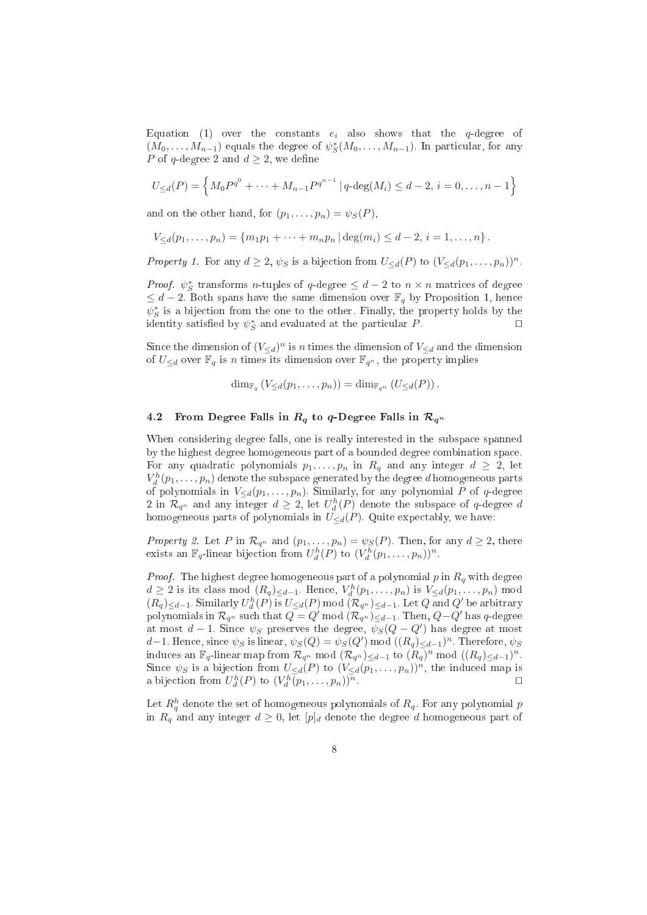Equation (1) over the constants  $e_i$  also shows that the q-degree of  $(M_0, \ldots, M_{n-1})$  equals the degree of  $\psi_S^*(M_0, \ldots, M_{n-1})$ . In particular, for any P of q-degree 2 and  $d \geq 2$ , we define

$$
U_{\leq d}(P) = \left\{ M_0 P^{q^0} + \dots + M_{n-1} P^{q^{n-1}} \mid q \text{-deg}(M_i) \leq d-2, \, i = 0, \dots, n-1 \right\}
$$

and on the other hand, for  $(p_1, \ldots, p_n) = \psi_S(P)$ ,

$$
V_{\leq d}(p_1,\ldots,p_n) = \{m_1p_1 + \cdots + m_np_n \mid \deg(m_i) \leq d-2, i = 1,\ldots,n\}.
$$

Property 1. For any  $d \geq 2$ ,  $\psi_S$  is a bijection from  $U_{\leq d}(P)$  to  $(V_{\leq d}(p_1, \ldots, p_n))^n$ .

*Proof.*  $\psi_{S}^{*}$  transforms *n*-tuples of *q*-degree  $\leq d-2$  to  $n \times n$  matrices of degree  $\leq d-2$ . Both spans have the same dimension over  $\mathbb{F}_q$  by Proposition 1, hence  $\psi_S^*$  is a bijection from the one to the other. Finally, the property holds by the identity satisfied by  $\psi_S^*$  and evaluated at the particular P.

Since the dimension of  $(V_{\leq d})^n$  is n times the dimension of  $V_{\leq d}$  and the dimension of  $U_{\leq d}$  over  $\mathbb{F}_q$  is *n* times its dimension over  $\mathbb{F}_{q^n}$ , the property implies

$$
\dim_{\mathbb{F}_q} (V_{\leq d}(p_1,\ldots,p_n)) = \dim_{\mathbb{F}_{q^n}} (U_{\leq d}(P)).
$$

# 4.2 From Degree Falls in  $R_q$  to q-Degree Falls in  $\mathcal{R}_{q^m}$

When considering degree falls, one is really interested in the subspace spanned by the highest degree homogeneous part of a bounded degree ombination spa
e. For any quadratic polynomials  $p_1, \ldots, p_n$  in  $R_q$  and any integer  $d \geq 2$ , let  $V_d^h(p_1,\ldots,p_n)$  denote the subspace generated by the degree  $d$  homogeneous parts of polynomials in  $V_{\leq d}(p_1,\ldots,p_n)$ . Similarly, for any polynomial P of q-degree 2 in  $\mathcal{R}_{q^n}$  and any integer  $d \geq 2$ , let  $U_d^h(P)$  denote the subspace of q-degree d homogeneous parts of polynomials in  $U_{\leq d}(P)$ . Quite expectably, we have:

Property 2. Let P in  $\mathcal{R}_{q^n}$  and  $(p_1, \ldots, p_n) = \psi_S(P)$ . Then, for any  $d \geq 2$ , there exists an  $\mathbb{F}_q$ -linear bijection from  $U_d^h(P)$  to  $(V_d^h(p_1,\ldots,p_n))^n$ .

*Proof.* The highest degree homogeneous part of a polynomial  $p$  in  $R_q$  with degree  $d \geq 2$  is its class mod  $(R_q)_{\leq d-1}$ . Hence,  $V_d^h(p_1, \ldots, p_n)$  is  $V_{\leq d}(p_1, \ldots, p_n)$  mod  $(R_q)_{\leq d-1}$ . Similarly  $U_d^h(P)$  is  $U_{\leq d}(P) \bmod (R_{q^n})_{\leq d-1}$ . Let  $Q$  and  $Q'$  be arbitrary polynomials in  $\mathcal{R}_{q^n}$  such that  $Q = Q' \mod (\mathcal{R}_{q^n})_{\leq d-1}$ . Then,  $Q - Q'$  has q-degree at most  $d-1$ . Since  $\psi_S$  preserves the degree,  $\psi_S(Q-Q')$  has degree at most d−1. Hence, since  $\psi_S$  is linear,  $\psi_S(Q) = \psi_S(Q') \mod ((R_q)_{\leq d-1})^n$ . Therefore,  $\psi_S$ induces an  $\mathbb{F}_q$ -linear map from  $\mathcal{R}_{q^n}$  mod  $(\mathcal{R}_{q^n})_{\leq d-1}$  to  $(\widetilde{R_q})^n$  mod  $((R_q)_{\leq d-1})^n$ .<br>Since  $\psi_S$  is a bijection from  $U_{\leq d}(P)$  to  $(V_{\leq d}(p_1, \ldots, p_n))^n$ , the induced map is a bijection from  $U_d^h(P)$  to  $(V_d^h(p_1,\ldots,p_n))^{\overline{n}}$ .

Let  $R_q^h$  denote the set of homogeneous polynomials of  $R_q$ . For any polynomial  $p$ in  $R_q$  and any integer  $d \geq 0$ , let  $[p]_d$  denote the degree d homogeneous part of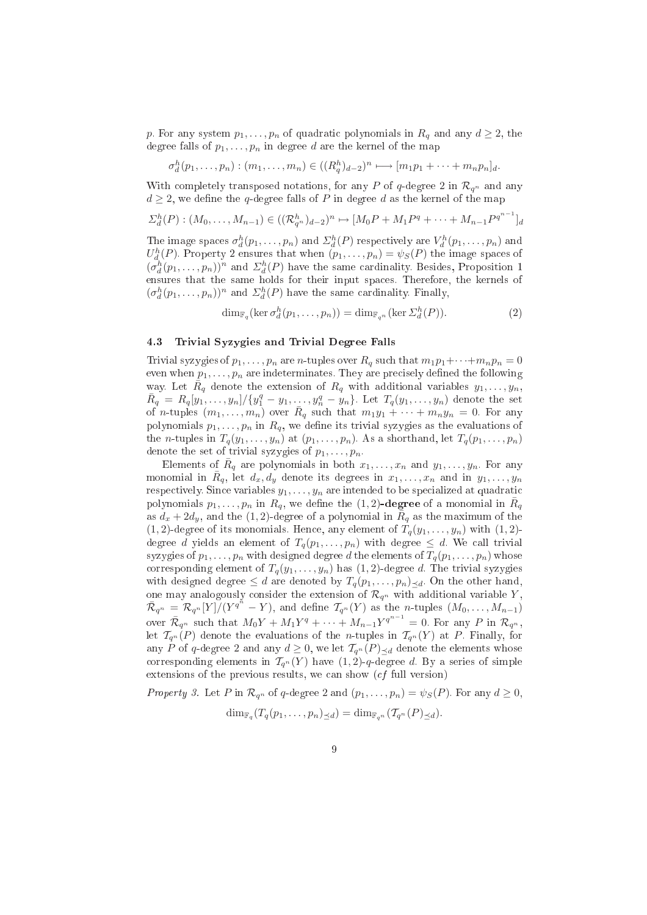p. For any system  $p_1, \ldots, p_n$  of quadratic polynomials in  $R_q$  and any  $d \geq 2$ , the degree falls of  $p_1, \ldots, p_n$  in degree d are the kernel of the map

$$
\sigma_d^h(p_1,\ldots,p_n) : (m_1,\ldots,m_n) \in ((R_q^h)_{d-2})^n \longmapsto [m_1p_1+\cdots+m_np_n]_d.
$$

With completely transposed notations, for any P of q-degree 2 in  $\mathcal{R}_{q^n}$  and any  $d \geq 2$ , we define the q-degree falls of P in degree d as the kernel of the map

$$
\Sigma_d^h(P) : (M_0, \dots, M_{n-1}) \in ((\mathcal{R}_{q^n}^h)_{d-2})^n \mapsto [M_0P + M_1P^q + \dots + M_{n-1}P^{q^{n-1}}]_d
$$

The image spaces  $\sigma_d^h(p_1,\ldots,p_n)$  and  $\Sigma_d^h(P)$  respectively are  $V_d^h(p_1,\ldots,p_n)$  and  $U_d^h(P)$ . Property 2 ensures that when  $(p_1, \ldots, p_n) = \psi_S(P)$  the image spaces of  $(\sigma_d^h(p_1,\ldots,p_n))^n$  and  $\Sigma_d^h(P)$  have the same cardinality. Besides, Proposition 1 ensures that the same holds for their input spa
es. Therefore, the kernels of  $(\sigma_d^h(p_1,\ldots,p_n))^n$  and  $\Sigma_d^h(P)$  have the same cardinality. Finally,

 $\dim_{\mathbb{F}_q}(\ker \sigma_d^h(p_1,\ldots,p_n)) = \dim_{\mathbb{F}_{q^n}}(\ker \Sigma_d^h(P)).$  (2)

# 4.3 Trivial Syzygies and Trivial Degree Falls

Trivial syzygies of  $p_1, \ldots, p_n$  are *n*-tuples over  $R_q$  such that  $m_1p_1 + \cdots + m_np_n = 0$ even when  $p_1, \ldots, p_n$  are indeterminates. They are precisely defined the following way. Let  $\bar{R}_q$  denote the extension of  $R_q$  with additional variables  $y_1, \ldots, y_n$ ,  $\bar{R}_q = R_q[y_1, \ldots, y_n] / \{y_1^q - y_1, \ldots, y_n^q - y_n\}$ . Let  $T_q(y_1, \ldots, y_n)$  denote the set of *n*-tuples  $(m_1, \ldots, m_n)$  over  $\bar{R}_q$  such that  $m_1y_1 + \cdots + m_ny_n = 0$ . For any polynomials  $p_1, \ldots, p_n$  in  $R_q$ , we define its trivial syzygies as the evaluations of the *n*-tuples in  $T_q(y_1, \ldots, y_n)$  at  $(p_1, \ldots, p_n)$ . As a shorthand, let  $T_q(p_1, \ldots, p_n)$ denote the set of trivial syzygies of  $p_1, \ldots, p_n$ .

Elements of  $\bar{R}_q$  are polynomials in both  $x_1, \ldots, x_n$  and  $y_1, \ldots, y_n$ . For any monomial in  $\bar{R}_q$ , let  $d_x, d_y$  denote its degrees in  $x_1, \ldots, x_n$  and in  $y_1, \ldots, y_n$ respectively. Since variables  $y_1, \ldots, y_n$  are intended to be specialized at quadratic polynomials  $p_1, \ldots, p_n$  in  $R_q,$  we define the (1,2)-degree of a monomial in  $\bar{R}_q$ as  $d_x + 2d_y$ , and the (1,2)-degree of a polynomial in  $\bar{R}_q$  as the maximum of the  $(1, 2)$ -degree of its monomials. Hence, any element of  $T_q(y_1, \ldots, y_n)$  with  $(1, 2)$ degree d yields an element of  $T_q(p_1,\ldots,p_n)$  with degree  $\leq d$ . We call trivial syzygies of  $p_1, \ldots, p_n$  with designed degree d the elements of  $T_q(p_1, \ldots, p_n)$  whose corresponding element of  $T_q(y_1, \ldots, y_n)$  has  $(1, 2)$ -degree d. The trivial syzygies with designed degree  $\leq d$  are denoted by  $T_q(p_1,\ldots,p_n)_{\leq d}$ . On the other hand, one may analogously consider the extension of  $\mathcal{R}_{q^n}$  with additional variable Y,  $\bar{\mathcal{R}}_{q^n} = \mathcal{R}_{q^n}[Y]/(Y^{q^n}-Y)$ , and define  $\mathcal{T}_{q^n}(Y)$  as the *n*-tuples  $(M_0,\ldots,M_{n-1})$ over  $\overline{\mathcal{R}}_{q^n}$  such that  $M_0 Y + M_1 Y^q + \cdots + M_{n-1} Y^{q^{n-1}} = 0$ . For any P in  $\mathcal{R}_{q^n}$ , let  $\mathcal{T}_{q^n}(P)$  denote the evaluations of the *n*-tuples in  $\mathcal{T}_{q^n}(Y)$  at *P*. Finally, for any P of q-degree 2 and any  $d \geq 0$ , we let  $\mathcal{T}_{q^n}(P)_{\leq d}$  denote the elements whose corresponding elements in  $\mathcal{T}_{q^n}(Y)$  have  $(1, 2)$ -q-degree d. By a series of simple extensions of the previous results, we can show  $(cf$  full version)

Property 3. Let P in  $\mathcal{R}_{q^n}$  of q-degree 2 and  $(p_1, \ldots, p_n) = \psi_S(P)$ . For any  $d \geq 0$ ,  $\dim_{\mathbb{F}_q}(T_q(p_1,\ldots,p_n)_{\preceq d}) = \dim_{\mathbb{F}_{q^n}}(\mathcal{T}_{q^n}(P)_{\preceq d}).$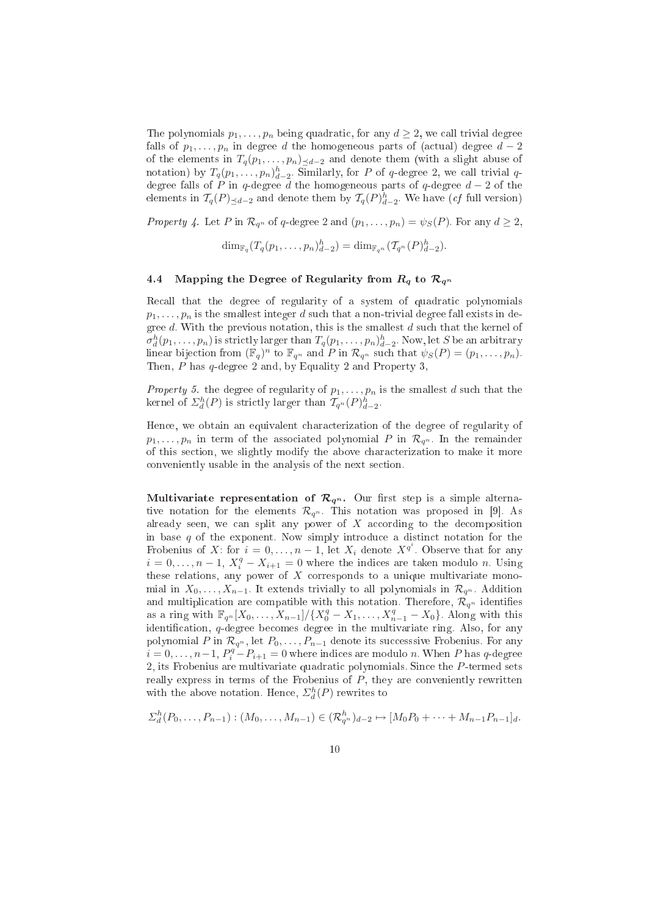The polynomials  $p_1, \ldots, p_n$  being quadratic, for any  $d \geq 2$ , we call trivial degree falls of  $p_1, \ldots, p_n$  in degree d the homogeneous parts of (actual) degree  $d-2$ of the elements in  $T_q(p_1, \ldots, p_n)_{\leq d-2}$  and denote them (with a slight abuse of notation) by  $T_q(p_1, \ldots, p_n)_{d=2}^h$ . Similarly, for P of q-degree 2, we call trivial qdegree falls of P in q-degree d the homogeneous parts of q-degree  $d-2$  of the elements in  $\mathcal{T}_q(P)_{\leq d-2}$  and denote them by  $\mathcal{T}_q(P)_{d-2}^h$ . We have (*cf* full version)

Property 4. Let P in  $\mathcal{R}_{q^n}$  of q-degree 2 and  $(p_1, \ldots, p_n) = \psi_S(P)$ . For any  $d \geq 2$ ,

 $\dim_{\mathbb{F}_q}(T_q(p_1,\ldots,p_n)_{d-2}^h)=\dim_{\mathbb{F}_{q^n}}(\mathcal{T}_{q^n}(P)_{d-2}^h).$ 

# 4.4 Mapping the Degree of Regularity from  $R_q$  to  $\mathcal{R}_{q^m}$

Recall that the degree of regularity of a system of quadratic polynomials  $p_1, \ldots, p_n$  is the smallest integer d such that a non-trivial degree fall exists in degree  $d$ . With the previous notation, this is the smallest  $d$  such that the kernel of  $\sigma_d^h(p_1,\ldots,p_n)$  is strictly larger than  $T_q(p_1,\ldots,p_n)_{d-2}^h$ . Now, let S be an arbitrary linear bijection from  $(\mathbb{F}_q)^n$  to  $\mathbb{F}_{q^n}$  and P in  $\mathcal{R}_{q^n}$  such that  $\psi_S(P) = (p_1, \ldots, p_n)$ . Then, P has q-degree 2 and, by Equality <sup>2</sup> and Property 3,

*Property 5.* the degree of regularity of  $p_1, \ldots, p_n$  is the smallest d such that the kernel of  $\Sigma_d^h(P)$  is strictly larger than  $\mathcal{T}_{q^n}(P)_{d-2}^h$ .

Hen
e, we obtain an equivalent hara
terization of the degree of regularity of  $p_1, \ldots, p_n$  in term of the associated polynomial P in  $\mathcal{R}_{q^n}$ . In the remainder of this se
tion, we slightly modify the above hara
terization to make it more onveniently usable in the analysis of the next se
tion.

Multivariate representation of  $\mathcal{R}_{q^n}$ . Our first step is a simple alternative notation for the elements  $\mathcal{R}_{q^n}$ . This notation was proposed in [9]. As already seen, we can split any power of  $X$  according to the decomposition in base  $q$  of the exponent. Now simply introduce a distinct notation for the Frobenius of X: for  $i = 0, \ldots, n-1$ , let  $X_i$  denote  $X^{q^i}$ . Observe that for any  $i = 0, \ldots, n-1, X_i^q - X_{i+1} = 0$  where the indices are taken modulo n. Using these relations, any power of  $X$  corresponds to a unique multivariate monomial in  $X_0, \ldots, X_{n-1}$ . It extends trivially to all polynomials in  $\mathcal{R}_{q^n}$ . Addition and multiplication are compatible with this notation. Therefore,  $\mathcal{R}_{q^n}$  identifies as a ring with  $\mathbb{F}_{q^n}[X_0, \ldots, X_{n-1}]/\{X_0^q - X_1, \ldots, X_{n-1}^q - X_0\}$ . Along with this identification,  $q$ -degree becomes degree in the multivariate ring. Also, for any polynomial P in  $\mathcal{R}_{q^n}$ , let  $P_0, \ldots, P_{n-1}$  denote its successsive Frobenius. For any  $i = 0, \ldots, n-1, P_i^q - P_{i+1} = 0$  where indices are modulo n. When P has q-degree 2, its Frobenius are multivariate quadratic polynomials. Since the P-termed sets really express in terms of the Frobenius of  $P$ , they are conveniently rewritten with the above notation. Hence,  $\Sigma_d^h(P)$  rewrites to

$$
\Sigma_d^h(P_0,\ldots,P_{n-1}): (M_0,\ldots,M_{n-1}) \in (\mathcal{R}_{q^n}^h)_{d-2} \mapsto [M_0P_0+\cdots+M_{n-1}P_{n-1}]_d.
$$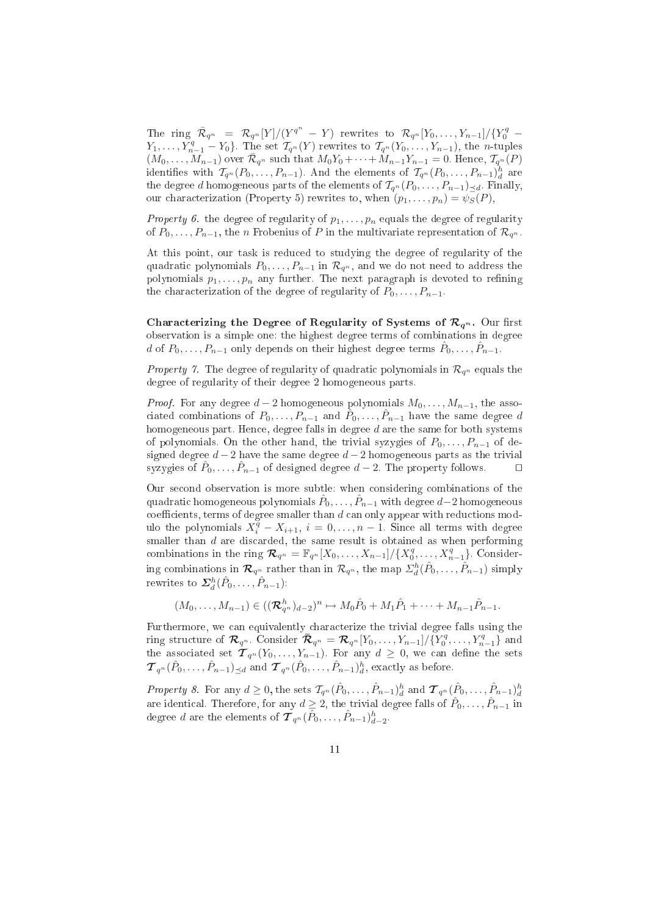The ring  $\bar{\mathcal{R}}_{q^n} = \mathcal{R}_{q^n}[Y]/(Y^{q^n} - Y)$  rewrites to  $\mathcal{R}_{q^n}[Y_0,\ldots,Y_{n-1}]/\{Y_0^q - Y_0\}$  $Y_1, \ldots, Y_{n-1}^q - Y_0$ . The set  $\mathcal{T}_{q^n}(Y)$  rewrites to  $\mathcal{T}_{q^n}(Y_0, \ldots, Y_{n-1})$ , the *n*-tuples  $(M_0, \ldots, M_{n-1})$  over  $\bar{\mathcal{R}}_{q^n}$  such that  $M_0Y_0 + \cdots + M_{n-1}Y_{n-1} = 0$ . Hence,  $\mathcal{T}_{q^n}(P)$ identifies with  $\mathcal{T}_{q^n}(P_0,\ldots,P_{n-1})$ . And the elements of  $\mathcal{T}_{q^n}(P_0,\ldots,P_{n-1})^h_d$  are the degree d homogeneous parts of the elements of  $\mathcal{T}_{q^n}(P_0,\ldots,P_{n-1})_{\preceq d}$ . Finally, our characterization (Property 5) rewrites to, when  $(p_1, \ldots, p_n) = \psi_S(P)$ ,

*Property 6.* the degree of regularity of  $p_1, \ldots, p_n$  equals the degree of regularity of  $P_0, \ldots, P_{n-1}$ , the n Frobenius of P in the multivariate representation of  $\mathcal{R}_{q^n}$ .

At this point, our task is redu
ed to studying the degree of regularity of the quadratic polynomials  $P_0, \ldots, P_{n-1}$  in  $\mathcal{R}_{q^n}$ , and we do not need to address the polynomials  $p_1, \ldots, p_n$  any further. The next paragraph is devoted to refining the characterization of the degree of regularity of  $P_0, \ldots, P_{n-1}$ .

Characterizing the Degree of Regularity of Systems of  $\mathcal{R}_{q^n}$ . Our first observation is a simple one: the highest degree terms of ombinations in degree d of  $P_0, \ldots, P_{n-1}$  only depends on their highest degree terms  $\hat{P}_0, \ldots, \hat{P}_{n-1}$ .

*Property 7.* The degree of regularity of quadratic polynomials in  $\mathcal{R}_{q^n}$  equals the degree of regularity of their degree 2 homogeneous parts.

*Proof.* For any degree  $d-2$  homogeneous polynomials  $M_0, \ldots, M_{n-1}$ , the associated combinations of  $P_0, \ldots, P_{n-1}$  and  $\hat{P}_0, \ldots, \hat{P}_{n-1}$  have the same degree d homogeneous part. Hence, degree falls in degree  $d$  are the same for both systems of polynomials. On the other hand, the trivial syzygies of  $P_0, \ldots, P_{n-1}$  of designed degree  $d-2$  have the same degree  $d-2$  homogeneous parts as the trivial syzygies of  $\hat{P}_0, \ldots, \hat{P}_{n-1}$  of designed degree  $d-2$ . The property follows.  $\Box$ 

Our se
ond observation is more subtle: when onsidering ombinations of the quadratic homogeneous polynomials  $\hat{P}_0, \ldots, \hat{P}_{n-1}$  with degree  $d-2$  homogeneous  $coefficients, terms of degree smaller than d can only appear with reductions mod$ ulo the polynomials  $X_i^{\overline{q}} - X_{i+1}, i = 0, \ldots, n-1$ . Since all terms with degree smaller than  $d$  are discarded, the same result is obtained as when performing combinations in the ring  $\mathcal{R}_{q^n} = \mathbb{F}_{q^n}[X_0, \ldots, X_{n-1}]/\{X_0^q, \ldots, X_{n-1}^q\}$ . Considering combinations in  $\mathcal{R}_{q^n}$  rather than in  $\mathcal{R}_{q^n}$ , the map  $\varSigma_d^h(\hat{P}_0,\ldots,\hat{P}_{n-1})$  simply rewrites to  $\mathbf{\Sigma}_{d}^{h}(\hat{P}_{0},\ldots,\hat{P}_{n-1})$ :

$$
(M_0, \ldots, M_{n-1}) \in ((\mathcal{R}_{q^n}^h)_{d-2})^n \mapsto M_0 \hat{P}_0 + M_1 \hat{P}_1 + \cdots + M_{n-1} \hat{P}_{n-1}.
$$

Furthermore, we can equivalently characterize the trivial degree falls using the ring structure of  $\mathcal{R}_{q^n}$ . Consider  $\bar{\mathcal{R}}_{q^n} = \mathcal{R}_{q^n}[Y_0, \ldots, Y_{n-1}]/\{Y_0^q, \ldots, Y_{n-1}^q\}$  and the associated set  $\overline{\mathcal{T}}_{q^n}(Y_0,\ldots,Y_{n-1})$ . For any  $d \geq 0$ , we can define the sets  ${\cal T}_{q^n}(\hat{P}_0,\ldots,\hat{P}_{n-1})_{\preceq d}$  and  ${\cal T}_{q^n}(\hat{P}_0,\ldots,\hat{P}_{n-1})_{d}^{h}$ , exactly as before.

Property 8. For any  $d \ge 0$ , the sets  $\mathcal{T}_{q^n}(\hat{P}_0, \ldots, \hat{P}_{n-1})_d^h$  and  $\mathcal{T}_{q^n}(\hat{P}_0, \ldots, \hat{P}_{n-1})_d^h$  are identical. Therefore, for any  $d \ge 2$ , the trivial degree falls of  $\hat{P}_0, \ldots, \hat{P}_{n-1}$  in degree *d* are the elements of  $\boldsymbol{\mathcal{T}}_{q^n}(\hat{P}_0,\ldots,\hat{P}_{n-1})_{d=2}^h$ .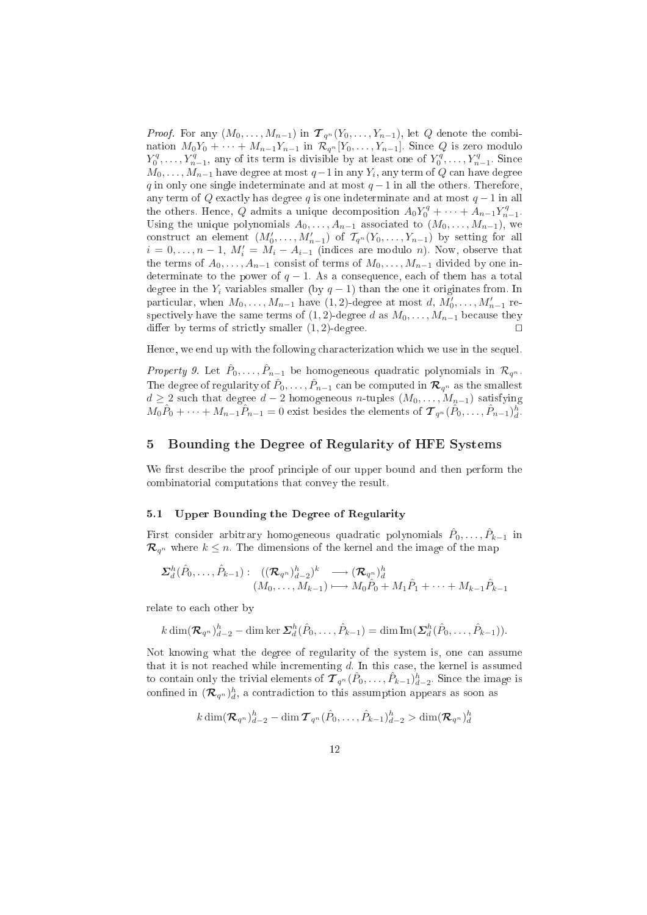*Proof.* For any  $(M_0, \ldots, M_{n-1})$  in  $\mathcal{T}_{q^n}(Y_0, \ldots, Y_{n-1})$ , let Q denote the combination  $M_0Y_0 + \cdots + M_{n-1}Y_{n-1}$  in  $\mathcal{R}_{q^n}[Y_0,\ldots,Y_{n-1}]$ . Since Q is zero modulo  $Y_0^q, \ldots, Y_{n-1}^q$ , any of its term is divisible by at least one of  $Y_0^q, \ldots, Y_{n-1}^q$ . Since  $M_0,\ldots,M_{n-1}$  have degree at most  $q-1$  in any  $Y_i,$  any term of  $Q$  can have degree q in only one single indeterminate and at most  $q-1$  in all the others. Therefore, any term of  $Q$  exactly has degree  $q$  is one indeterminate and at most  $q-1$  in all the others. Hence, Q admits a unique decomposition  $A_0Y_0^q + \cdots + A_{n-1}Y_{n-1}^q$ . Using the unique polynomials  $A_0, \ldots, A_{n-1}$  associated to  $(M_0, \ldots, M_{n-1})$ , we construct an element  $(M'_0, \ldots, M'_{n-1})$  of  $\mathcal{T}_{q^n}(Y_0, \ldots, Y_{n-1})$  by setting for all  $i = 0, \ldots, n - 1, M'_i = M_i - A_{i-1}$  (indices are modulo *n*). Now, observe that the terms of  $A_0, \ldots, A_{n-1}$  consist of terms of  $M_0, \ldots, M_{n-1}$  divided by one indeterminate to the power of  $q-1$ . As a consequence, each of them has a total degree in the  $Y_i$  variables smaller (by  $q-1$ ) than the one it originates from. In particular, when  $M_0, \ldots, M_{n-1}$  have  $(1, 2)$ -degree at most  $d, M'_0, \ldots, M'_{n-1}$  respectively have the same terms of  $(1, 2)$ -degree d as  $M_0, \ldots, M_{n-1}$  because they differ by terms of strictly smaller  $(1, 2)$ -degree. □

Hence, we end up with the following characterization which we use in the sequel.

Property 9. Let  $\hat{P}_0, \ldots, \hat{P}_{n-1}$  be homogeneous quadratic polynomials in  $\mathcal{R}_{q^n}$ . The degree of regularity of  $\hat{P}_0,\ldots,\hat{P}_{n-1}$  can be computed in  $\mathcal{R}_{q^n}$  as the smallest  $d \geq 2$  such that degree  $d-2$  homogeneous n-tuples  $(M_0, \ldots, M_{n-1})$  satisfying  $M_0\hat{P}_0+\cdots+M_{n-1}\hat{P}_{n-1}=0$  exist besides the elements of  $\mathcal{T}_{q^n}(\hat{P}_0,\ldots,\hat{P}_{n-1})_d^h$ .

### 5 Bounding the Degree of Regularity of HFE Systems

We first describe the proof principle of our upper bound and then perform the ombinatorial omputations that onvey the result.

#### 5.1 Upper Bounding the Degree of Regularity

First consider arbitrary homogeneous quadratic polynomials  $\hat{P}_0,\ldots,\hat{P}_{k-1}$  in  $\mathcal{R}_{q^n}$  where  $k \leq n$ . The dimensions of the kernel and the image of the map

$$
\Sigma_d^h(\hat{P}_0,\ldots,\hat{P}_{k-1}): (\mathcal{R}_{q^n})_{d-2}^h)^k \longrightarrow (\mathcal{R}_{q^n})_d^h
$$

$$
(M_0,\ldots,M_{k-1}) \longmapsto M_0\hat{P}_0 + M_1\hat{P}_1 + \cdots + M_{k-1}\hat{P}_{k-1}
$$

relate to ea
h other by

$$
k \dim(\mathcal{R}_{q^n})_{d=2}^h - \dim \ker \Sigma_d^h(\hat{P}_0, \dots, \hat{P}_{k-1}) = \dim \mathrm{Im}(\Sigma_d^h(\hat{P}_0, \dots, \hat{P}_{k-1})).
$$

Not knowing what the degree of regularity of the system is, one an assume that it is not reached while incrementing  $d$ . In this case, the kernel is assumed to contain only the trivial elements of  $\bm{\mathcal{T}}_{q^n}(\hat{P}_0,\ldots,\hat{P}_{k-1})_{d-2}^h$ . Since the image is confined in  $(\mathcal{R}_{q^n})^h_d$ , a contradiction to this assumption appears as soon as

$$
k\dim(\mathcal{R}_{q^n})_{d=2}^h-\dim\boldsymbol{\mathcal{T}}_{q^n}(\hat{P}_0,\ldots,\hat{P}_{k-1})_{d=2}^h>\dim(\mathcal{R}_{q^n})_d^h
$$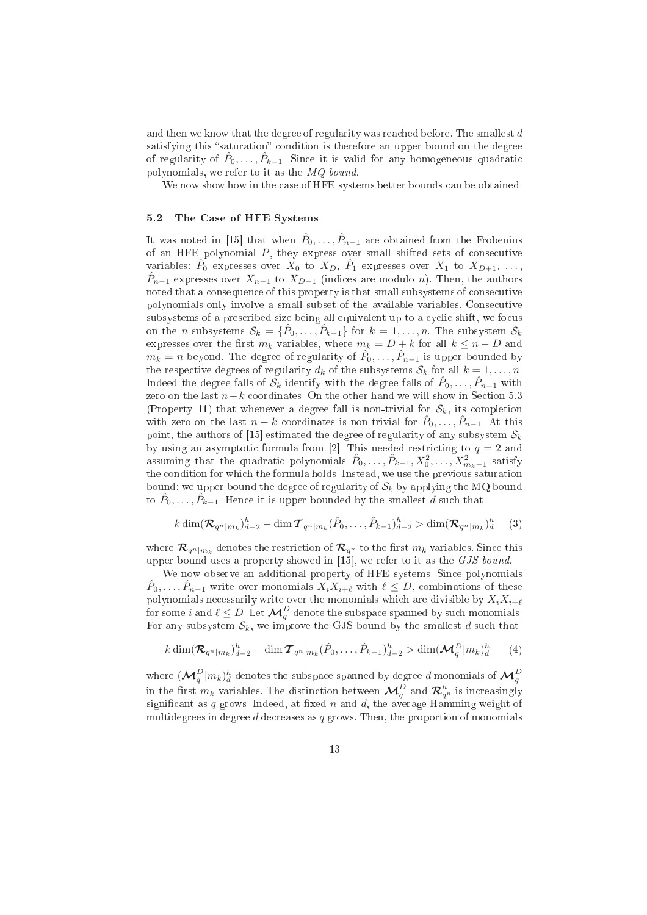and then we know that the degree of regularity was reached before. The smallest  $d$ satisfying this "saturation" condition is therefore an upper bound on the degree of regularity of  $\hat{P}_0, \ldots, \hat{P}_{k-1}$ . Since it is valid for any homogeneous quadratic polynomials, we refer to it as the MQ bound.

We now show how in the case of HFE systems better bounds can be obtained.

#### 5.2 The Case of HFE Systems

It was noted in [15] that when  $\hat{P}_0, \ldots, \hat{P}_{n-1}$  are obtained from the Frobenius of an HFE polynomial  $P$ , they express over small shifted sets of consecutive variables:  $\hat{P}_0$  expresses over  $X_0$  to  $X_D$ ,  $\hat{P}_1$  expresses over  $X_1$  to  $X_{D+1}$ , ...,  $\hat{P}_{n-1}$  expresses over  $X_{n-1}$  to  $X_{D-1}$  (indices are modulo n). Then, the authors noted that a consequence of this property is that small subsystems of consecutive polynomials only involve a small subset of the available variables. Conse
utive subsystems of a prescribed size being all equivalent up to a cyclic shift, we focus on the *n* subsystems  $\mathcal{S}_k = \{\hat{P}_0, \ldots, \hat{P}_{k-1}\}$  for  $k = 1, \ldots, n$ . The subsystem  $\mathcal{S}_k$ expresses over the first  $m_k$  variables, where  $m_k = D + k$  for all  $k \leq n - D$  and  $m_k = n$  beyond. The degree of regularity of  $\hat{P}_0, \ldots, \hat{P}_{n-1}$  is upper bounded by the respective degrees of regularity  $d_k$  of the subsystems  $S_k$  for all  $k = 1, \ldots, n$ . Indeed the degree falls of  $\mathcal{S}_k$  identify with the degree falls of  $\hat{P}_0,\ldots,\hat{P}_{n-1}$  with zero on the last  $n-k$  coordinates. On the other hand we will show in Section 5.3 (Property 11) that whenever a degree fall is non-trivial for  $S_k$ , its completion with zero on the last  $n - k$  coordinates is non-trivial for  $\hat{P}_0, \ldots, \hat{P}_{n-1}$ . At this point, the authors of [15] estimated the degree of regularity of any subsystem  $S_k$ by using an asymptotic formula from [2]. This needed restricting to  $q = 2$  and assuming that the quadratic polynomials  $\hat{P}_0, \ldots, \hat{P}_{k-1}, X_0^2, \ldots, X_{m_k-1}^2$  satisfy the condition for which the formula holds. Instead, we use the previous saturation bound: we upper bound the degree of regularity of  $S_k$  by applying the MQ bound to  $\hat{P}_0, \ldots, \hat{P}_{k-1}$ . Hence it is upper bounded by the smallest d such that

$$
k \dim(\mathcal{R}_{q^n|m_k})_{d-2}^h - \dim \mathcal{T}_{q^n|m_k}(\hat{P}_0,\ldots,\hat{P}_{k-1})_{d-2}^h > \dim(\mathcal{R}_{q^n|m_k})_d^h \quad (3)
$$

where  $\mathcal{R}_{q^n|m_k}$  denotes the restriction of  $\mathcal{R}_{q^n}$  to the first  $m_k$  variables. Since this upper bound uses a property showed in  $[15]$ , we refer to it as the GJS bound.

We now observe an additional property of HFE systems. Sin
e polynomials  $\hat{P}_0, \ldots, \hat{P}_{n-1}$  write over monomials  $X_i X_{i+\ell}$  with  $\ell \leq D$ , combinations of these polynomials necessarily write over the monomials which are divisible by  $X_i X_{i+\ell}$ for some  $i$  and  $\ell \leq D.$  Let  $\boldsymbol{\mathcal{M}}_q^D$  denote the subspace spanned by such monomials. For any subsystem  $S_k$ , we improve the GJS bound by the smallest d such that

$$
k \dim(\mathcal{R}_{q^n|m_k})_{d=2}^h - \dim \mathcal{T}_{q^n|m_k}(\hat{P}_0,\ldots,\hat{P}_{k-1})_{d=2}^h > \dim(\mathcal{M}_q^D|m_k)_d^h \qquad (4)
$$

where  $({\boldsymbol{\mathcal{M}}}^D_q|m_k)^h_d$  denotes the subspace spanned by degree  $d$  monomials of  ${\boldsymbol{\mathcal{M}}}^D_q$ in the first  $m_k$  variables. The distinction between  $\mathcal{M}_q^D$  and  $\mathcal{R}_{q^n}^h$  is increasingly significant as q grows. Indeed, at fixed n and d, the average Hamming weight of multidegrees in degree d decreases as q grows. Then, the proportion of monomials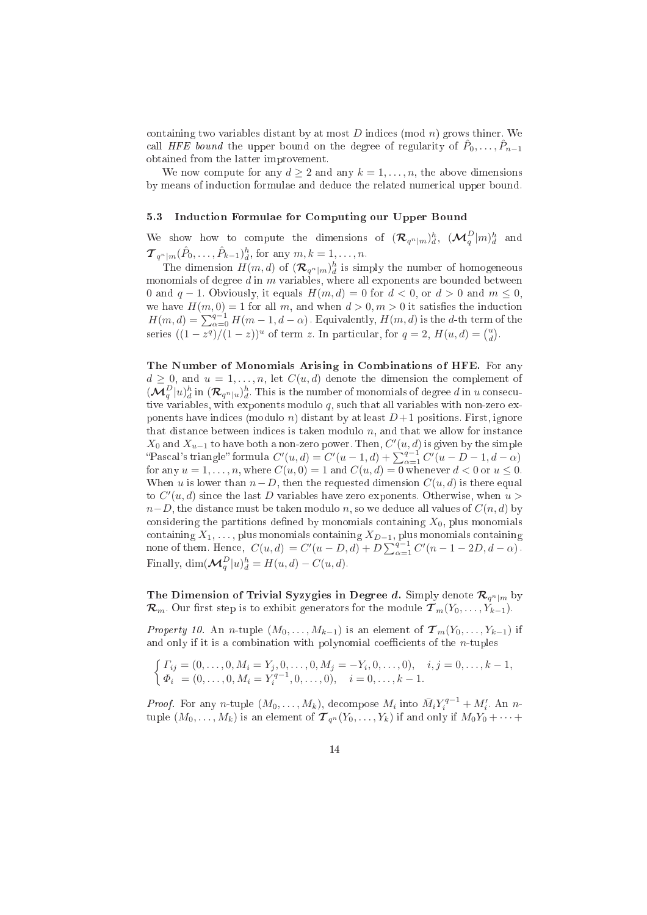containing two variables distant by at most  $D$  indices (mod  $n$ ) grows thiner. We call *HFE bound* the upper bound on the degree of regularity of  $\hat{P}_0, \ldots, \hat{P}_{n-1}$ obtained from the latter improvement.

We now compute for any  $d \geq 2$  and any  $k = 1, \ldots, n$ , the above dimensions by means of indu
tion formulae and dedu
e the related numeri
al upper bound.

#### 5.3 Indu
tion Formulae for Computing our Upper Bound

We show how to compute the dimensions of  $(\mathcal{R}_{q^n|m})^h_d$ ,  $(\mathcal{M}_q^D|m)^h_d$  and  $\mathcal{T}_{q^n|m}(\hat{P}_0,\ldots,\hat{P}_{k-1})_d^h$ , for any  $m, k = 1,\ldots,n$ .

The dimension  $H(m,d)$  of  $(\mathcal{R}_{q^n|m})^h_d$  is simply the number of homogeneous monomials of degree  $d$  in  $m$  variables, where all exponents are bounded between 0 and  $q-1$ . Obviously, it equals  $H(m,d) = 0$  for  $d < 0$ , or  $d > 0$  and  $m \leq 0$ , we have  $H(m, 0) = 1$  for all m, and when  $d > 0, m > 0$  it satisfies the induction  $H(m, d) = \sum_{\alpha=0}^{q-1} H(m-1, d-\alpha)$ . Equivalently,  $H(m, d)$  is the d-th term of the series  $((1 - z^q)/(1 - z))^u$  of term z. In particular, for  $q = 2$ ,  $H(u, d) = {u \choose d}$ .

The Number of Monomials Arising in Combinations of HFE. For any  $d \geq 0$ , and  $u = 1, \ldots, n$ , let  $C(u,d)$  denote the dimension the complement of  $(\bm{\mathcal{M}}_q^D|u)_d^h$  in  $(\bm{\mathcal{R}}_{q^n|u})_d^h$ . This is the number of monomials of degree  $d$  in  $u$  consecutive variables, with exponents modulo  $q,$  such that all variables with non-zero exponents have indices (modulo *n*) distant by at least  $D+1$  positions. First, ignore that distance between indices is taken modulo  $n$ , and that we allow for instance  $X_0$  and  $X_{u-1}$  to have both a non-zero power. Then,  $C'(u,d)$  is given by the simple "Pascal's triangle" formula  $C'(u, d) = C'(u - 1, d) + \sum_{\alpha=1}^{q-1} C'(u - D - 1, d - \alpha)$ for any  $u = 1, \ldots, n$ , where  $C(u, 0) = 1$  and  $C(u, d) = 0$  whenever  $d < 0$  or  $u \leq 0$ . When u is lower than  $n-D$ , then the requested dimension  $C(u, d)$  is there equal to  $C'(u, d)$  since the last D variables have zero exponents. Otherwise, when  $u >$  $n-D$ , the distance must be taken modulo n, so we deduce all values of  $C(n,d)$  by considering the partitions defined by monomials containing  $X_0$ , plus monomials  $\operatorname{containing} X_1 , \ldots ,$  plus monomials containing  $X_{D-1},$  plus monomials containing none of them. Hence,  $C(u,d) = C'(u-D,d) + D \sum_{\alpha=1}^{q-1} C'(n-1-2D,d-\alpha)$ . Finally,  $\dim(\mathcal{M}_q^D|u)_d^h = H(u,d) - C(u,d)$ .

The Dimension of Trivial Syzygies in Degree d. Simply denote  $\mathcal{R}_{q^n|m}$  by  $\bm{\mathcal{R}}_m$ . Our first step is to exhibit generators for the module  $\bm{\mathcal{T}}_m(Y_0,\ldots,Y_{k-1}).$ 

Property 10. An n-tuple  $(M_0, \ldots, M_{k-1})$  is an element of  $\mathcal{T}_m(Y_0, \ldots, Y_{k-1})$  if and only if it is a combination with polynomial coefficients of the  $n$ -tuples

$$
\begin{cases}\n\Gamma_{ij} = (0, \dots, 0, M_i = Y_j, 0, \dots, 0, M_j = -Y_i, 0, \dots, 0), & i, j = 0, \dots, k - 1, \\
\Phi_i = (0, \dots, 0, M_i = Y_i^{q-1}, 0, \dots, 0), & i = 0, \dots, k - 1.\n\end{cases}
$$

*Proof.* For any *n*-tuple  $(M_0, ..., M_k)$ , decompose  $M_i$  into  $\overline{M}_i Y_i^{q-1} + M'_i$ . An *n*tuple  $(M_0, \ldots, M_k)$  is an element of  $\mathcal{T}_{q^n}(Y_0, \ldots, Y_k)$  if and only if  $M_0Y_0 + \cdots$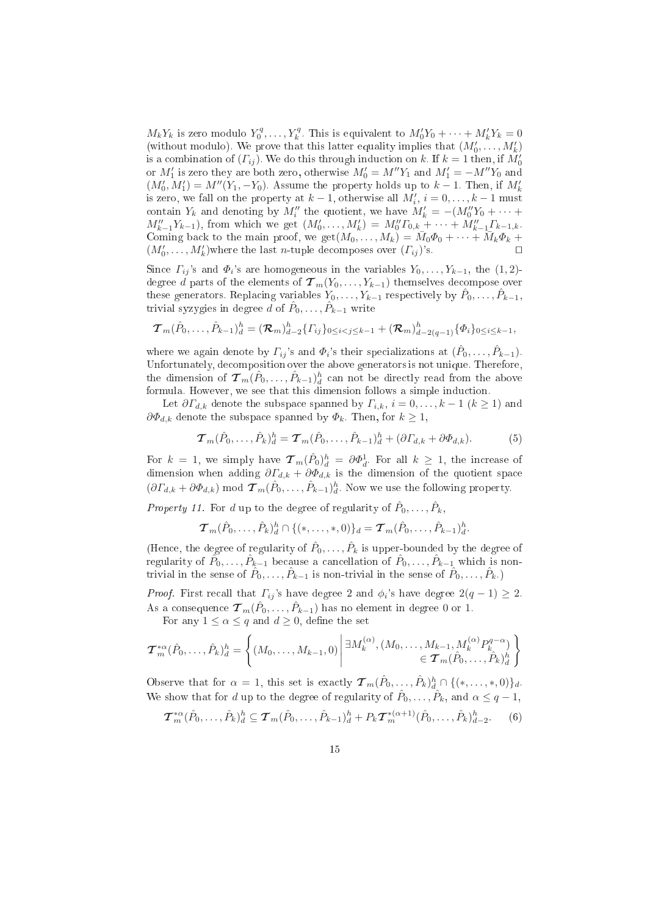$M_k Y_k$  is zero modulo  $Y_0^q, \ldots, Y_k^q$ . This is equivalent to  $M'_0 Y_0 + \cdots + M'_k Y_k = 0$ (without modulo). We prove that this latter equality implies that  $(M'_0, \ldots, M'_k)$ is a combination of  $(\Gamma_{ij})$ . We do this through induction on k. If  $k = 1$  then, if  $M'_0$ or  $M'_1$  is zero they are both zero, otherwise  $M'_0 = M'' Y_1$  and  $M'_1 = -M'' Y_0$  and  $(M'_0, M'_1) = M''(Y_1, -Y_0)$ . Assume the property holds up to  $k-1$ . Then, if  $M'_k$ is zero, we fall on the property at  $k-1$ , otherwise all  $M'_i$ ,  $i = 0, \ldots, k-1$  must contain  $Y_k$  and denoting by  $M''_i$  the quotient, we have  $M'_k = -(M''_0 Y_0 + \cdots +$  $M''_{k-1}Y_{k-1}$ ), from which we get  $(M'_0, \ldots, M'_k) = M''_0T_{0,k} + \cdots + M''_{k-1}T_{k-1,k}$ . Coming back to the main proof, we get $(M_0, \ldots, M_k) = \overline{M}_0 \Phi_0 + \cdots + \overline{M}_k \Phi_k +$  $(M'_0, \ldots, M'_k)$  where the last *n*-tuple decomposes over  $(\Gamma_{ij})$ 's.

Since  $\Gamma_{ij}$ 's and  $\Phi_i$ 's are homogeneous in the variables  $Y_0, \ldots, Y_{k-1}$ , the  $(1, 2)$ degree d parts of the elements of  $\mathcal{T}_{m}(Y_0,\ldots,Y_{k-1})$  themselves decompose over these generators. Replacing variables  $Y_0, \ldots, Y_{k-1}$  respectively by  $\hat{P}_0, \ldots, \hat{P}_{k-1}$ , trivial syzygies in degree  $d$  of  $\hat{P}_0, \ldots, \hat{P}_{k-1}$  write

$$
\boldsymbol{T}_{m}(\hat{P}_{0},\ldots,\hat{P}_{k-1})_{d}^{h} = (\boldsymbol{\mathcal{R}}_{m})_{d-2}^{h} \{ \Gamma_{ij} \}_{0 \leq i < j \leq k-1} + (\boldsymbol{\mathcal{R}}_{m})_{d-2(q-1)}^{h} \{ \Phi_{i} \}_{0 \leq i \leq k-1},
$$

where we again denote by  $\Gamma_{ij}$ 's and  $\Phi_i$ 's their specializations at  $(\hat{P}_0, \ldots, \hat{P}_{k-1})$ . Unfortunately, decomposition over the above generators is not unique. Therefore, the dimension of  $\mathcal{T}_m(\hat{P}_0,\ldots,\hat{P}_{k-1})^h_d$  can not be directly read from the above formula. However, we see that this dimension follows a simple induction.

Let  $\partial \Gamma_{d,k}$  denote the subspace spanned by  $\Gamma_{i,k}$ ,  $i=0,\ldots,k-1$   $(k \geq 1)$  and  $\partial \Phi_{d,k}$  denote the subspace spanned by  $\Phi_k$ . Then, for  $k \geq 1$ ,

$$
\boldsymbol{\mathcal{T}}_m(\hat{P}_0,\ldots,\hat{P}_k)^h_d = \boldsymbol{\mathcal{T}}_m(\hat{P}_0,\ldots,\hat{P}_{k-1})^h_d + (\partial \varGamma_{d,k} + \partial \Phi_{d,k}). \tag{5}
$$

For  $k = 1$ , we simply have  $\mathcal{T}_m(\hat{P}_0)_d^h = \partial \Phi_d^1$ . For all  $k \geq 1$ , the increase of dimension when adding  $\partial \varGamma_{d,k} + \partial \varPhi_{d,k}$  is the dimension of the quotient space  $(\partial \Gamma_{d,k} + \partial \Phi_{d,k})$  mod  $\mathcal{T}_m(\hat{P}_0,\ldots,\hat{P}_{k-1})^h_d$ . Now we use the following property.

Property 11. For d up to the degree of regularity of  $\hat{P}_0, \ldots, \hat{P}_k$ ,

$$
\boldsymbol{\mathcal{T}}_m(\hat{P}_0,\ldots,\hat{P}_k)^h_d \cap \{(*,\ldots,*,0)\}_d = \boldsymbol{\mathcal{T}}_m(\hat{P}_0,\ldots,\hat{P}_{k-1})^h_d.
$$

(Hence, the degree of regularity of  $\hat{P}_0, \ldots, \hat{P}_k$  is upper-bounded by the degree of regularity of  $\hat{P_0}, \ldots, \hat{P_{k-1}}$  because a cancellation of  $\hat{P_0}, \ldots, \hat{P_{k-1}}$  which is nontrivial in the sense of  $\hat{P}_0,\ldots,\hat{P}_{k-1}$  is non-trivial in the sense of  $\hat{P}_0,\ldots,\hat{P}_k$ .)

*Proof.* First recall that  $\Gamma_{ij}$ 's have degree 2 and  $\phi_i$ 's have degree  $2(q-1) \geq 2$ . As a consequence  $\bm{\mathcal{T}}_m(\hat{P}_0,\ldots,\hat{P}_{k-1})$  has no element in degree 0 or 1.

For any  $1 \le \alpha \le q$  and  $d \ge 0$ , define the set

$$
\boldsymbol{\mathcal{T}}_{m}^{*\alpha}(\hat{P}_{0},\ldots,\hat{P}_{k})_{d}^{h} = \left\{ (M_{0},\ldots,M_{k-1},0) \middle| \ \exists M_{k}^{(\alpha)},(M_{0},\ldots,M_{k-1},M_{k}^{(\alpha)}P_{k}^{q-\alpha}) \atop \in \boldsymbol{\mathcal{T}}_{m}(\hat{P}_{0},\ldots,\hat{P}_{k})_{d}^{h} \right\}
$$

Observe that for  $\alpha = 1$ , this set is exactly  $\mathcal{T}_m(\hat{P}_0, \ldots, \hat{P}_k)^h_d \cap \{(*,\ldots,*,0)\}_d$ . We show that for  $d$  up to the degree of regularity of  $\hat{P}_0, \ldots, \hat{P}_k$ , and  $\alpha \leq q-1$ ,

$$
\mathcal{T}_{m}^{*\alpha}(\hat{P}_{0},\ldots,\hat{P}_{k})_{d}^{h} \subseteq \mathcal{T}_{m}(\hat{P}_{0},\ldots,\hat{P}_{k-1})_{d}^{h} + P_{k}\mathcal{T}_{m}^{*(\alpha+1)}(\hat{P}_{0},\ldots,\hat{P}_{k})_{d-2}^{h}.
$$
 (6)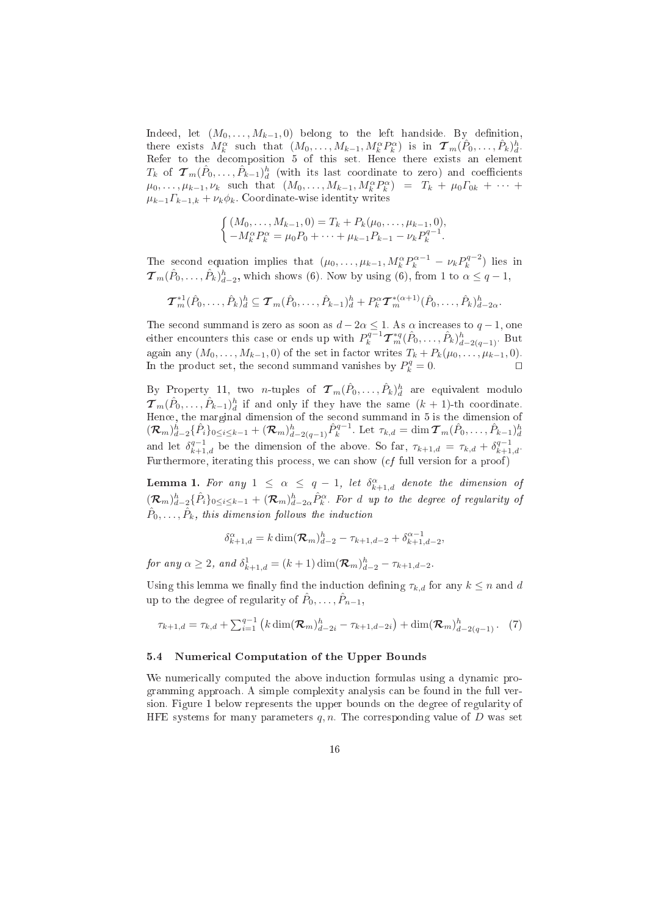Indeed, let  $(M_0, \ldots, M_{k-1}, 0)$  belong to the left handside. By definition, there exists  $M_k^{\alpha}$  such that  $(M_0, \ldots, M_{k-1}, M_k^{\alpha} P_k^{\alpha})$  is in  $\mathcal{T}_m(\hat{P}_0, \ldots, \hat{P}_k)_d^n$ . Refer to the decomposition 5 of this set. Hence there exists an element  $T_k$  of  $\bm{\mathcal{T}}_m(\hat{P}_0,\ldots,\hat{P}_{k-1})^h_d$  (with its last coordinate to zero) and coefficients  $\mu_0, \ldots, \mu_{k-1}, \nu_k$  such that  $(M_0, \ldots, M_{k-1}, M_k^{\alpha} P_k^{\alpha}) = T_k + \mu_0 \Gamma_{0k} + \cdots$  $\mu_{k-1}\Gamma_{k-1,k} + \nu_k \phi_k$ . Coordinate-wise identity writes

$$
\begin{cases}\n(M_0, \ldots, M_{k-1}, 0) = T_k + P_k(\mu_0, \ldots, \mu_{k-1}, 0), \\
-M_k^{\alpha} P_k^{\alpha} = \mu_0 P_0 + \cdots + \mu_{k-1} P_{k-1} - \nu_k P_k^{q-1}.\n\end{cases}
$$

The second equation implies that  $(\mu_0, \ldots, \mu_{k-1}, M_k^{\alpha} P_k^{\alpha-1} - \nu_k P_k^{q-2})$  lies in  $\boldsymbol{\mathcal{T}}_m(\hat{P}_0,\ldots,\hat{P}_k)_{d-2}^h$ , which shows (6). Now by using (6), from 1 to  $\alpha \leq q-1$ ,

$$
\boldsymbol{\mathcal{T}}_{m}^{*1}(\hat{P}_{0},\ldots,\hat{P}_{k})_{d}^{h} \subseteq \boldsymbol{\mathcal{T}}_{m}(\hat{P}_{0},\ldots,\hat{P}_{k-1})_{d}^{h} + P_{k}^{\alpha} \boldsymbol{\mathcal{T}}_{m}^{*(\alpha+1)}(\hat{P}_{0},\ldots,\hat{P}_{k})_{d-2\alpha}^{h}.
$$

The second summand is zero as soon as  $d - 2\alpha \leq 1$ . As  $\alpha$  increases to  $q - 1$ , one either encounters this case or ends up with  $P_k^{q-1} \boldsymbol{\mathcal{T}}_{m}^{*q} (\hat{P}_0,\ldots,\hat{P}_k)_{d-2(q-1)}^h$ . But again any  $(M_0, \ldots, M_{k-1}, 0)$  of the set in factor writes  $T_k + P_k(\mu_0, \ldots, \mu_{k-1}, 0)$ . In the product set, the second summand vanishes by  $P_k^q = 0$ . □

By Property 11, two *n*-tuples of  $\bm{\mathcal{T}}_m(\hat{P}_0,\ldots,\hat{P}_k)_d^h$  are equivalent modulo  $\mathcal{T}_{m}(\hat{P}_{0},\ldots,\hat{P}_{k-1})_{d}^{h}$  if and only if they have the same  $(k+1)$ -th coordinate. Hence, the marginal dimension of the second summand in 5 is the dimension of  $(\mathcal{R}_m)_{d-2}^{\dot{h}}\{\hat{P}_{i}\}_{0\leq i\leq k-1}+(\mathcal{R}_m)_{d-2(q-1)}^h\hat{P}_{k}^{q-1}.$  Let  $\tau_{k,d}=\dim \boldsymbol{\mathcal{T}}_m(\hat{P}_0,\ldots,\hat{P}_{k-1})_{d}^h$ and let  $\delta^{q-1}_{k+1,d}$  be the dimension of the above. So far,  $\tau_{k+1,d} = \tau_{k,d} + \delta^{q-1}_{k+1,d}$ . Furthermore, iterating this process, we can show  $(cf$  full version for a proof)

**Lemma 1.** For any  $1 \leq \alpha \leq q-1$ , let  $\delta_{k+1,d}^{\alpha}$  denote the dimension of  $(\mathcal{R}_m)_{d-2}^h \{\hat{P}_i\}_{0 \leq i \leq k-1} + (\mathcal{R}_m)_{d-2\alpha}^h \hat{P}_k^\alpha$ . For d up to the degree of regularity of  $\hat{P}_0, \ldots, \hat{P}_k$ , this dimension follows the induction

$$
\delta_{k+1,d}^{\alpha} = k \dim(\mathcal{R}_m)_{d-2}^h - \tau_{k+1,d-2} + \delta_{k+1,d-2}^{\alpha-1},
$$

for any  $\alpha \ge 2$ , and  $\delta^1_{k+1,d} = (k+1) \dim(\mathcal{R}_m)_{d-2}^h - \tau_{k+1,d-2}$ .

Using this lemma we finally find the induction defining  $\tau_{k,d}$  for any  $k \leq n$  and d up to the degree of regularity of  $\hat{P}_0, \ldots, \hat{P}_{n-1},$ 

$$
\tau_{k+1,d} = \tau_{k,d} + \sum_{i=1}^{q-1} \left( k \dim(\mathcal{R}_m)_{d-2i}^h - \tau_{k+1,d-2i} \right) + \dim(\mathcal{R}_m)_{d-2(q-1)}^h. \tag{7}
$$

#### 5.4 Numeri
al Computation of the Upper Bounds

We numerically computed the above induction formulas using a dynamic programming approa
h. A simple omplexity analysis an be found in the full version. Figure 1 below represents the upper bounds on the degree of regularity of HFE systems for many parameters  $q, n$ . The corresponding value of D was set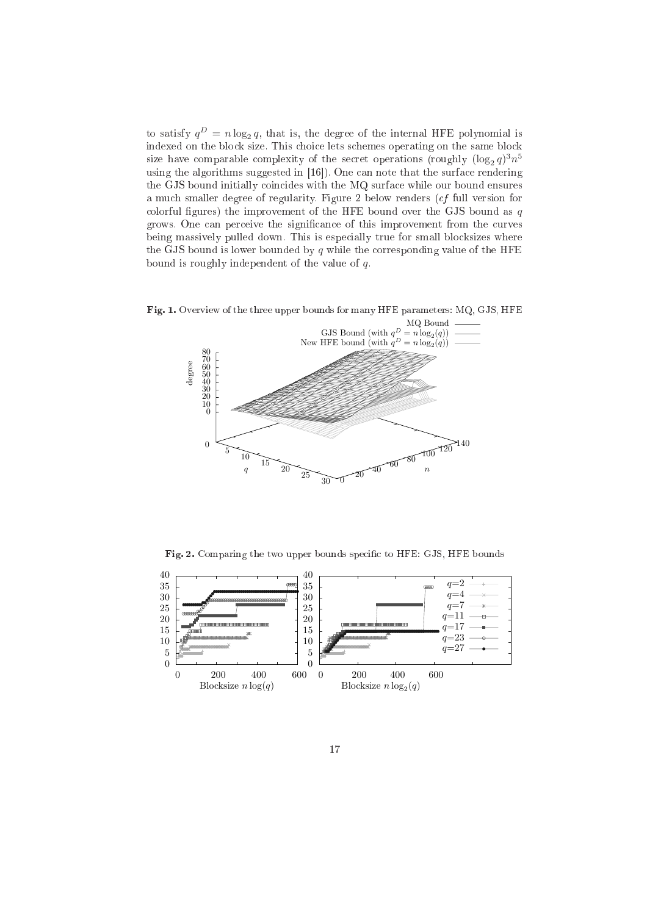to satisfy  $q^D = n \log_2 q$ , that is, the degree of the internal HFE polynomial is indexed on the block size. This choice lets schemes operating on the same block size have comparable complexity of the secret operations (roughly  $(\log_2 q)^3 n^5$ using the algorithms suggested in [16]). One can note that the surface rendering the GJS bound initially coincides with the MQ surface while our bound ensures a mu
h smaller degree of regularity. Figure 2 below renders (
f full version for colorful figures) the improvement of the HFE bound over the GJS bound as  $q$ grows. One an per
eive the signi
an
e of this improvement from the urves being massively pulled down. This is especially true for small blocksizes where the GJS bound is lower bounded by  $q$  while the corresponding value of the HFE bound is roughly independent of the value of  $q$ .



Fig. 1. Overview of the three upper bounds for many HFE parameters: MQ, GJS, HFE

Fig. 2. Comparing the two upper bounds specific to HFE: GJS, HFE bounds

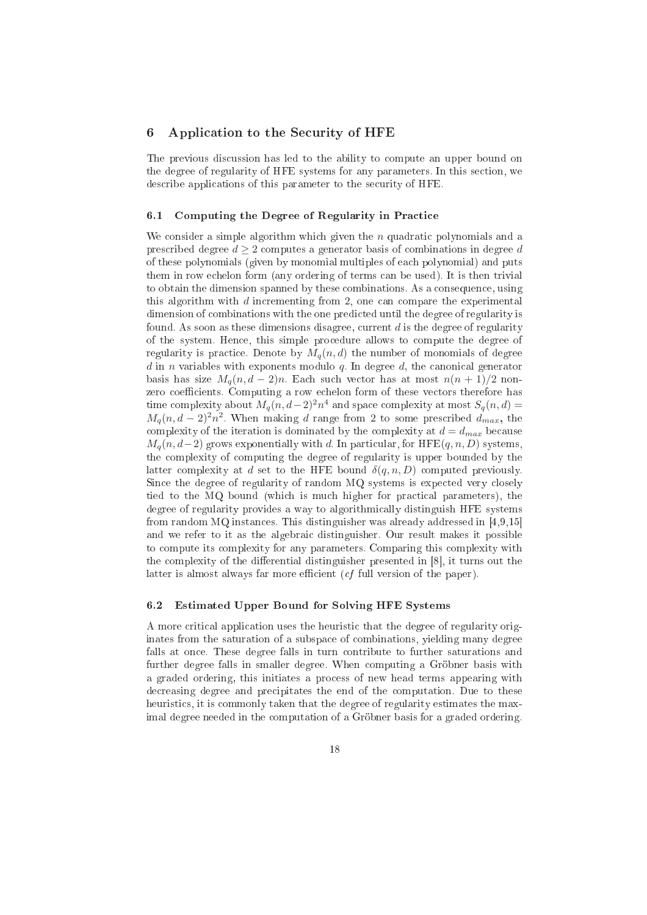# 6 Appli
ation to the Se
urity of HFE

The previous dis
ussion has led to the ability to ompute an upper bound on the degree of regularity of HFE systems for any parameters. In this se
tion, we describe applications of this parameter to the security of HFE.

### 6.1 Computing the Degree of Regularity in Practice

We consider a simple algorithm which given the  $n$  quadratic polynomials and a prescribed degree  $d \geq 2$  computes a generator basis of combinations in degree d of these polynomials (given by monomial multiples of ea
h polynomial) and puts them in row e
helon form (any ordering of terms an be used). It is then trivial to obtain the dimension spanned by these ombinations. As a onsequen
e, using this algorithm with  $d$  incrementing from 2, one can compare the experimental dimension of combinations with the one predicted until the degree of regularity is found. As soon as these dimensions disagree, current  $d$  is the degree of regularity of the system. Hen
e, this simple pro
edure allows to ompute the degree of regularity is practice. Denote by  $M_q(n, d)$  the number of monomials of degree  $d$  in n variables with exponents modulo  $q$ . In degree  $d$ , the canonical generator basis has size  $M_q(n, d-2)n$ . Each such vector has at most  $n(n + 1)/2$  nonzero coefficients. Computing a row echelon form of these vectors therefore has time complexity about  $M_q(n, d-2)^2 n^4$  and space complexity at most  $S_q(n, d) =$  $M_q(n, d-2)^2 n^2$ . When making d range from 2 to some prescribed  $d_{max}$ , the complexity of the iteration is dominated by the complexity at  $d = d_{max}$  because  $M_q(n, d-2)$  grows exponentially with d. In particular, for HFE $(q, n, D)$  systems, the omplexity of omputing the degree of regularity is upper bounded by the latter complexity at d set to the HFE bound  $\delta(q, n, D)$  computed previously. Since the degree of regularity of random MQ systems is expected very closely tied to the MQ bound (which is much higher for practical parameters), the degree of regularity provides a way to algorithmi
ally distinguish HFE systems from random  $MQ$  instances. This distinguisher was already addressed in  $[4,9,15]$ and we refer to it as the algebraic distinguisher. Our result makes it possible to ompute its omplexity for any parameters. Comparing this omplexity with the complexity of the differential distinguisher presented in [8], it turns out the latter is almost always far more efficient  $(cf$  full version of the paper).

### 6.2 Estimated Upper Bound for Solving HFE Systems

A more critical application uses the heuristic that the degree of regularity originates from the saturation of a subspa
e of ombinations, yielding many degree falls at on
e. These degree falls in turn ontribute to further saturations and further degree falls in smaller degree. When omputing a Gröbner basis with a graded ordering, this initiates a pro
ess of new head terms appearing with decreasing degree and precipitates the end of the computation. Due to these heuristics, it is commonly taken that the degree of regularity estimates the maximal degree needed in the omputation of a Gröbner basis for a graded ordering.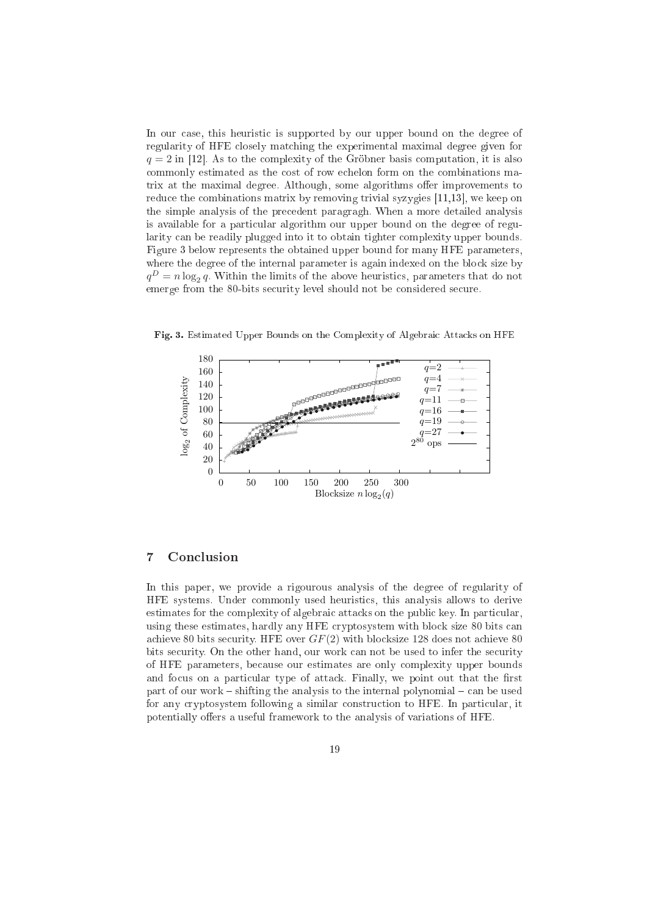In our case, this heuristic is supported by our upper bound on the degree of regularity of HFE losely mat
hing the experimental maximal degree given for  $q = 2$  in [12]. As to the complexity of the Gröbner basis computation, it is also commonly estimated as the cost of row echelon form on the combinations matrix at the maximal degree. Although, some algorithms offer improvements to reduce the combinations matrix by removing trivial syzygies [11,13], we keep on the simple analysis of the pre
edent paragragh. When a more detailed analysis is available for a particular algorithm our upper bound on the degree of regularity an be readily plugged into it to obtain tighter omplexity upper bounds. Figure 3 below represents the obtained upper bound for many HFE parameters, where the degree of the internal parameter is again indexed on the block size by  $q^D = n \log_2 q$ . Within the limits of the above heuristics, parameters that do not emerge from the 80-bits se
urity level should not be onsidered se
ure.



Fig. 3. Estimated Upper Bounds on the Complexity of Algebraic Attacks on HFE

# 7 Con
lusion

In this paper, we provide a rigourous analysis of the degree of regularity of HFE systems. Under ommonly used heuristi
s, this analysis allows to derive estimates for the complexity of algebraic attacks on the public key. In particular, using these estimates, hardly any HFE cryptosystem with block size 80 bits can achieve 80 bits security. HFE over  $GF(2)$  with blocksize 128 does not achieve 80 bits security. On the other hand, our work can not be used to infer the security of HFE parameters, be
ause our estimates are only omplexity upper bounds and focus on a particular type of attack. Finally, we point out that the first part of our work  $-\text{shifting}$  the analysis to the internal polynomial  $-\text{can}$  be used for any cryptosystem following a similar construction to HFE. In particular, it potentially offers a useful framework to the analysis of variations of HFE.